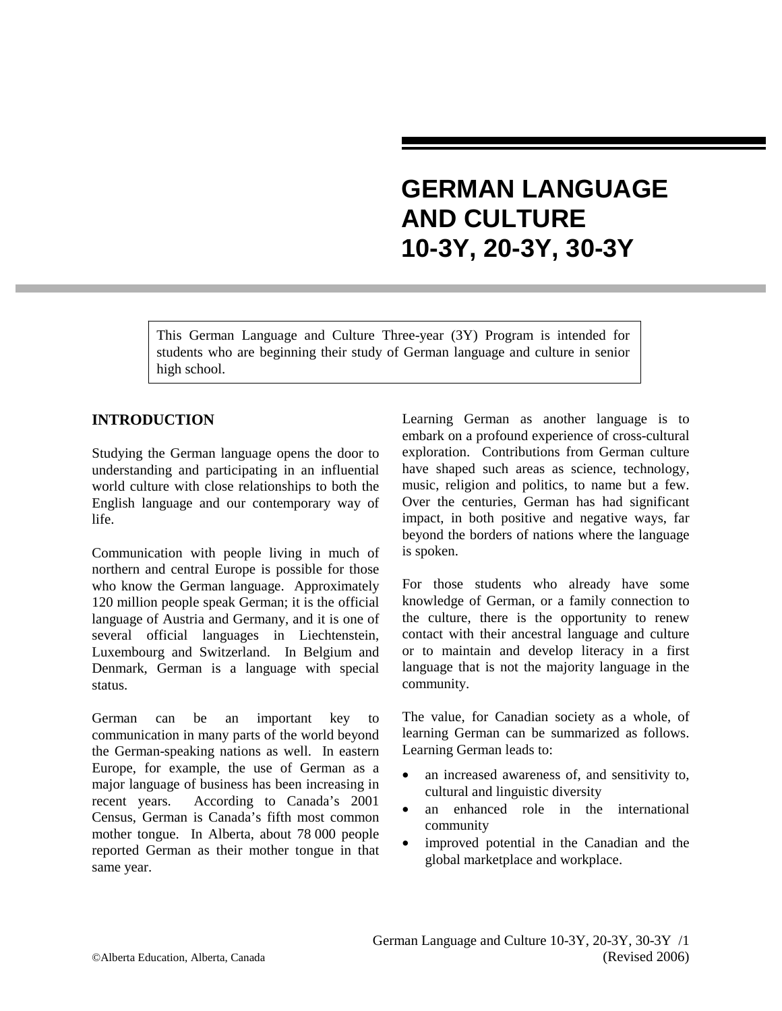# **GERMAN LANGUAGE AND CULTURE 10-3Y, 20-3Y, 30-3Y**

This German Language and Culture Three-year (3Y) Program is intended for students who are beginning their study of German language and culture in senior high school.

## **INTRODUCTION**

Studying the German language opens the door to understanding and participating in an influential world culture with close relationships to both the English language and our contemporary way of life.

Communication with people living in much of northern and central Europe is possible for those who know the German language. Approximately 120 million people speak German; it is the official language of Austria and Germany, and it is one of several official languages in Liechtenstein, Luxembourg and Switzerland. In Belgium and Denmark, German is a language with special status.

German can be an important key to communication in many parts of the world beyond the German-speaking nations as well. In eastern Europe, for example, the use of German as a major language of business has been increasing in recent years. According to Canada's 2001 Census, German is Canada's fifth most common mother tongue. In Alberta, about 78 000 people reported German as their mother tongue in that same year.

Learning German as another language is to embark on a profound experience of cross-cultural exploration. Contributions from German culture have shaped such areas as science, technology, music, religion and politics, to name but a few. Over the centuries, German has had significant impact, in both positive and negative ways, far beyond the borders of nations where the language is spoken.

For those students who already have some knowledge of German, or a family connection to the culture, there is the opportunity to renew contact with their ancestral language and culture or to maintain and develop literacy in a first language that is not the majority language in the community.

The value, for Canadian society as a whole, of learning German can be summarized as follows. Learning German leads to:

- an increased awareness of, and sensitivity to, cultural and linguistic diversity
- an enhanced role in the international community
- improved potential in the Canadian and the global marketplace and workplace.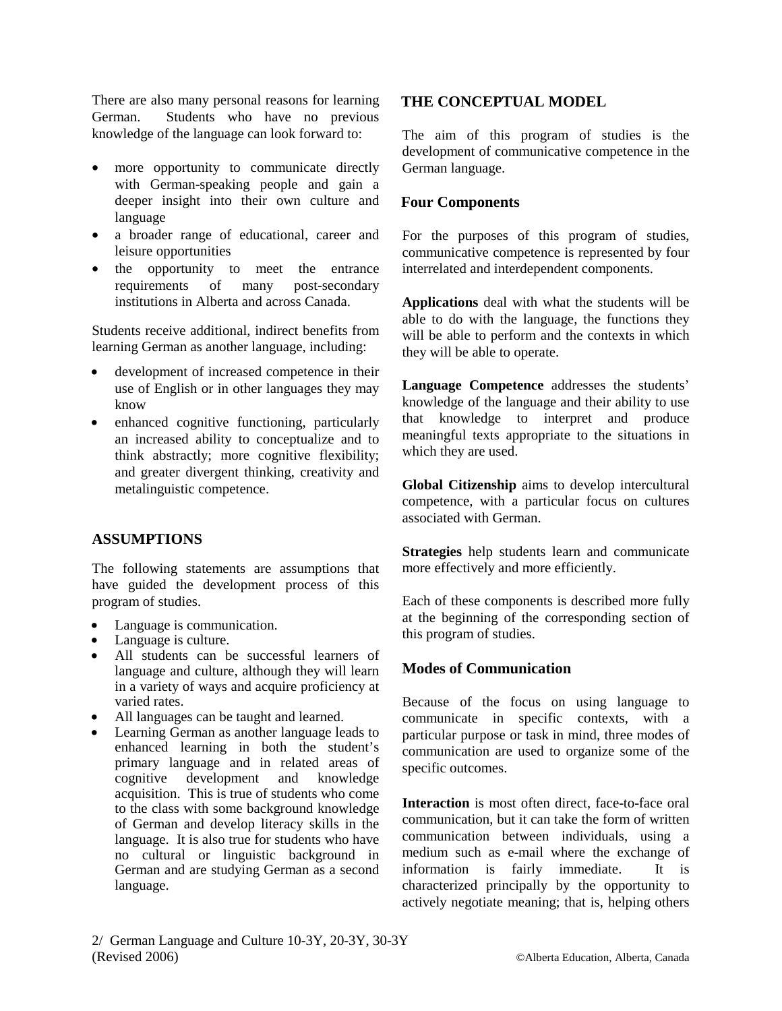There are also many personal reasons for learning German. Students who have no previous knowledge of the language can look forward to:

- more opportunity to communicate directly with German-speaking people and gain a deeper insight into their own culture and language
- a broader range of educational, career and leisure opportunities
- the opportunity to meet the entrance requirements of many post-secondary institutions in Alberta and across Canada.

Students receive additional, indirect benefits from learning German as another language, including:

- development of increased competence in their use of English or in other languages they may know
- enhanced cognitive functioning, particularly an increased ability to conceptualize and to think abstractly; more cognitive flexibility; and greater divergent thinking, creativity and metalinguistic competence.

## **ASSUMPTIONS**

The following statements are assumptions that have guided the development process of this program of studies.

- Language is communication.
- Language is culture.
- All students can be successful learners of language and culture, although they will learn in a variety of ways and acquire proficiency at varied rates.
- All languages can be taught and learned.
- Learning German as another language leads to enhanced learning in both the student's primary language and in related areas of cognitive development and knowledge acquisition. This is true of students who come to the class with some background knowledge of German and develop literacy skills in the language. It is also true for students who have no cultural or linguistic background in German and are studying German as a second language.

## **THE CONCEPTUAL MODEL**

The aim of this program of studies is the development of communicative competence in the German language.

## **Four Components**

For the purposes of this program of studies, communicative competence is represented by four interrelated and interdependent components.

**Applications** deal with what the students will be able to do with the language, the functions they will be able to perform and the contexts in which they will be able to operate.

**Language Competence** addresses the students' knowledge of the language and their ability to use that knowledge to interpret and produce meaningful texts appropriate to the situations in which they are used.

**Global Citizenship** aims to develop intercultural competence, with a particular focus on cultures associated with German.

**Strategies** help students learn and communicate more effectively and more efficiently.

Each of these components is described more fully at the beginning of the corresponding section of this program of studies.

## **Modes of Communication**

Because of the focus on using language to communicate in specific contexts, with a particular purpose or task in mind, three modes of communication are used to organize some of the specific outcomes.

**Interaction** is most often direct, face-to-face oral communication, but it can take the form of written communication between individuals, using a medium such as e-mail where the exchange of information is fairly immediate. It is characterized principally by the opportunity to actively negotiate meaning; that is, helping others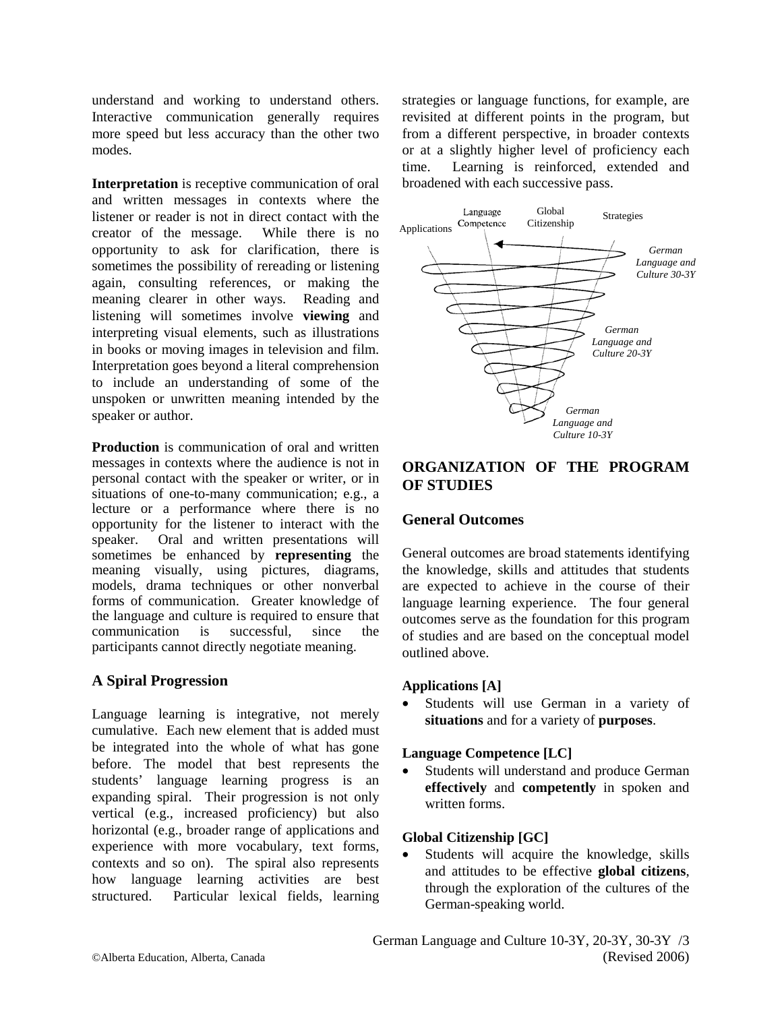understand and working to understand others. Interactive communication generally requires more speed but less accuracy than the other two modes.

**Interpretation** is receptive communication of oral and written messages in contexts where the listener or reader is not in direct contact with the creator of the message. While there is no opportunity to ask for clarification, there is sometimes the possibility of rereading or listening again, consulting references, or making the meaning clearer in other ways. Reading and listening will sometimes involve **viewing** and interpreting visual elements, such as illustrations in books or moving images in television and film. Interpretation goes beyond a literal comprehension to include an understanding of some of the unspoken or unwritten meaning intended by the speaker or author.

**Production** is communication of oral and written messages in contexts where the audience is not in personal contact with the speaker or writer, or in situations of one-to-many communication; e.g., a lecture or a performance where there is no opportunity for the listener to interact with the speaker. Oral and written presentations will sometimes be enhanced by **representing** the meaning visually, using pictures, diagrams, models, drama techniques or other nonverbal forms of communication. Greater knowledge of the language and culture is required to ensure that<br>communication is successful, since the communication is successful, since the participants cannot directly negotiate meaning.

#### **A Spiral Progression**

Language learning is integrative, not merely cumulative. Each new element that is added must be integrated into the whole of what has gone before. The model that best represents the students' language learning progress is an expanding spiral. Their progression is not only vertical (e.g., increased proficiency) but also horizontal (e.g., broader range of applications and experience with more vocabulary, text forms, contexts and so on). The spiral also represents how language learning activities are best structured. Particular lexical fields, learning

strategies or language functions, for example, are revisited at different points in the program, but from a different perspective, in broader contexts or at a slightly higher level of proficiency each time. Learning is reinforced, extended and broadened with each successive pass.



## **ORGANIZATION OF THE PROGRAM OF STUDIES**

#### **General Outcomes**

General outcomes are broad statements identifying the knowledge, skills and attitudes that students are expected to achieve in the course of their language learning experience. The four general outcomes serve as the foundation for this program of studies and are based on the conceptual model outlined above.

#### **Applications [A]**

Students will use German in a variety of **situations** and for a variety of **purposes**.

#### **Language Competence [LC]**

Students will understand and produce German **effectively** and **competently** in spoken and written forms.

#### **Global Citizenship [GC]**

Students will acquire the knowledge, skills and attitudes to be effective **global citizens**, through the exploration of the cultures of the German-speaking world.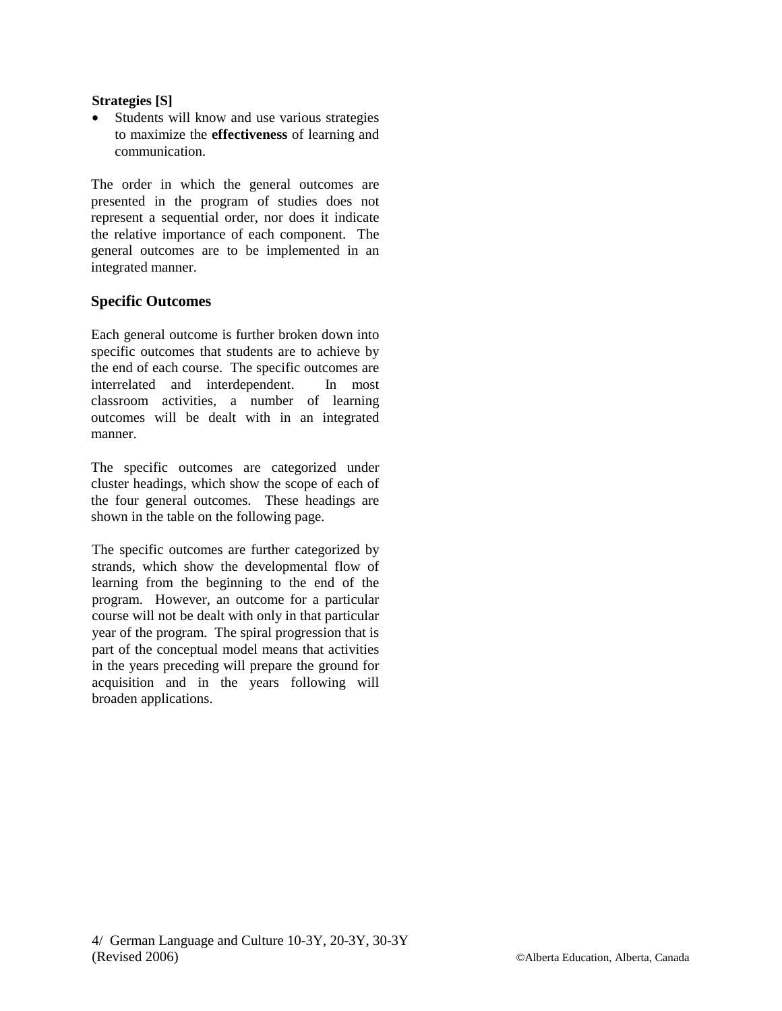#### **Strategies [S]**

• Students will know and use various strategies to maximize the **effectiveness** of learning and communication.

The order in which the general outcomes are presented in the program of studies does not represent a sequential order, nor does it indicate the relative importance of each component. The general outcomes are to be implemented in an integrated manner.

#### **Specific Outcomes**

Each general outcome is further broken down into specific outcomes that students are to achieve by the end of each course. The specific outcomes are interrelated and interdependent. In most classroom activities, a number of learning outcomes will be dealt with in an integrated manner.

The specific outcomes are categorized under cluster headings, which show the scope of each of the four general outcomes. These headings are shown in the table on the following page.

The specific outcomes are further categorized by strands, which show the developmental flow of learning from the beginning to the end of the program. However, an outcome for a particular course will not be dealt with only in that particular year of the program. The spiral progression that is part of the conceptual model means that activities in the years preceding will prepare the ground for acquisition and in the years following will broaden applications.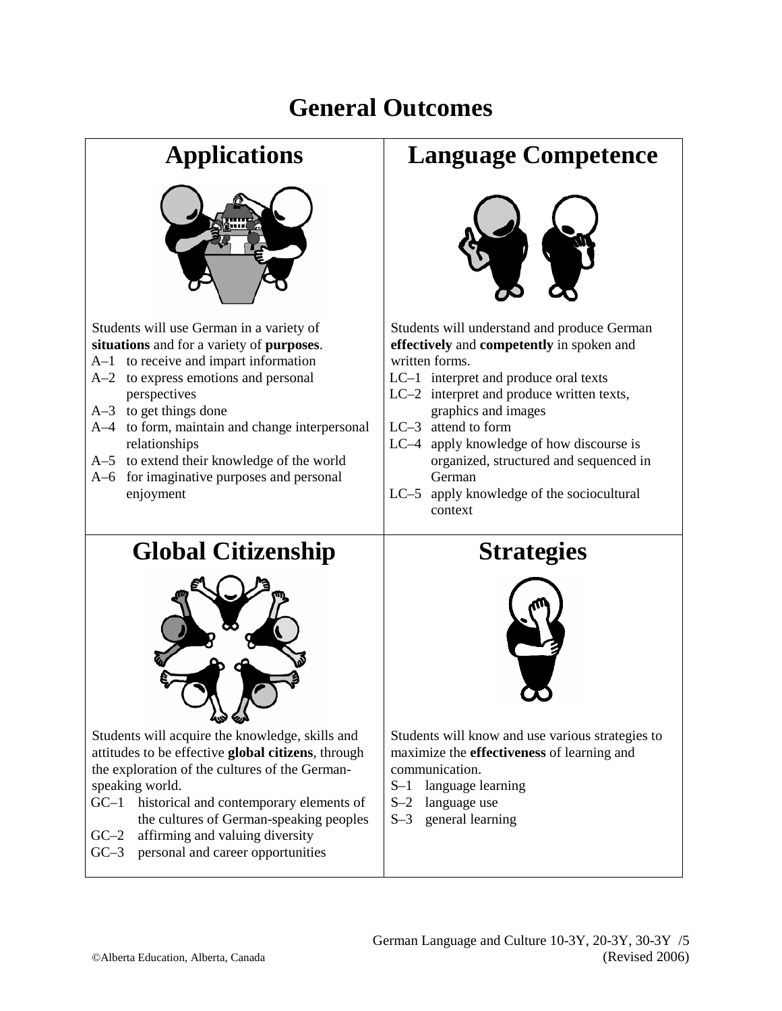## **General Outcomes**

| <b>Applications</b>                                                                                                                                                                                                                                                                                                                                                                              | <b>Language Competence</b>                                                                                                                                                                                                                                                                                                                                                                                    |
|--------------------------------------------------------------------------------------------------------------------------------------------------------------------------------------------------------------------------------------------------------------------------------------------------------------------------------------------------------------------------------------------------|---------------------------------------------------------------------------------------------------------------------------------------------------------------------------------------------------------------------------------------------------------------------------------------------------------------------------------------------------------------------------------------------------------------|
|                                                                                                                                                                                                                                                                                                                                                                                                  |                                                                                                                                                                                                                                                                                                                                                                                                               |
| Students will use German in a variety of<br>situations and for a variety of purposes.<br>to receive and impart information<br>A–1<br>A-2 to express emotions and personal<br>perspectives<br>$A-3$ to get things done<br>A-4 to form, maintain and change interpersonal<br>relationships<br>A-5 to extend their knowledge of the world<br>A-6 for imaginative purposes and personal<br>enjoyment | Students will understand and produce German<br>effectively and competently in spoken and<br>written forms.<br>LC-1 interpret and produce oral texts<br>LC-2 interpret and produce written texts,<br>graphics and images<br>$LC-3$ attend to form<br>LC-4 apply knowledge of how discourse is<br>organized, structured and sequenced in<br>German<br>$LC-5$<br>apply knowledge of the sociocultural<br>context |
| <b>Global Citizenship</b>                                                                                                                                                                                                                                                                                                                                                                        | <b>Strategies</b>                                                                                                                                                                                                                                                                                                                                                                                             |
| Students will acquire the knowledge, skills and<br>attitudes to be effective global citizens, through<br>the exploration of the cultures of the German-<br>speaking world.<br>GC-1 historical and contemporary elements of<br>the cultures of German-speaking peoples<br>affirming and valuing diversity<br>$GC-2$<br>$GC-3$<br>personal and career opportunities                                | Students will know and use various strategies to<br>maximize the effectiveness of learning and<br>communication.<br>$S-1$<br>language learning<br>$S-2$<br>language use<br>general learning<br>$S-3$                                                                                                                                                                                                          |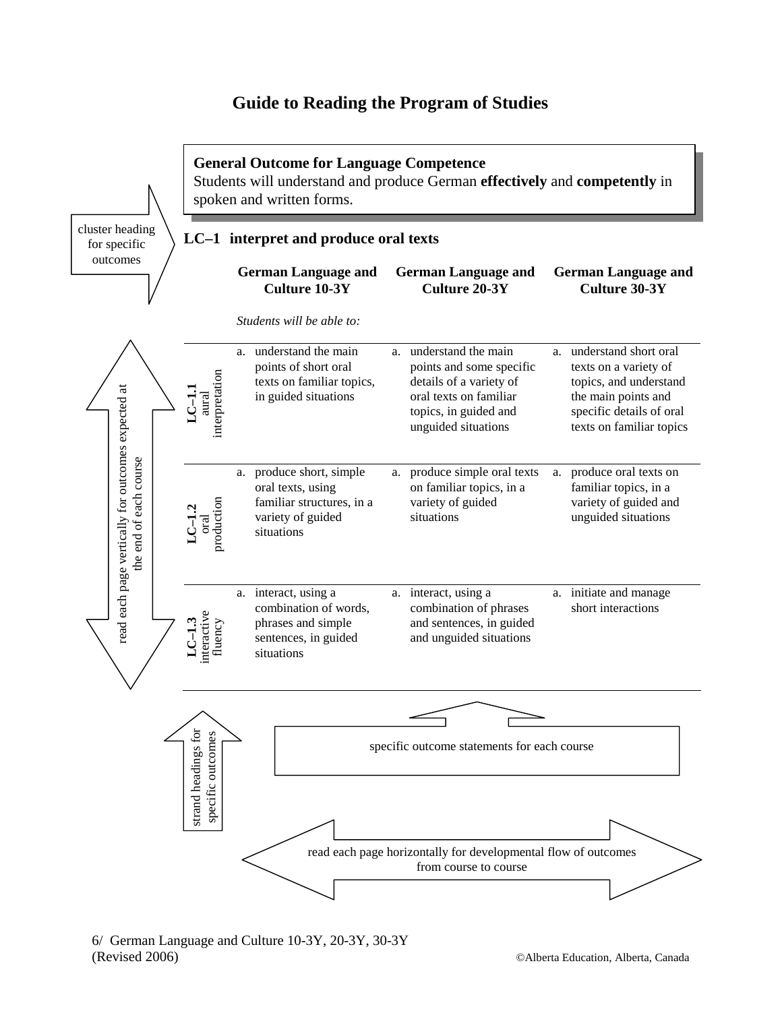## **Guide to Reading the Program of Studies**

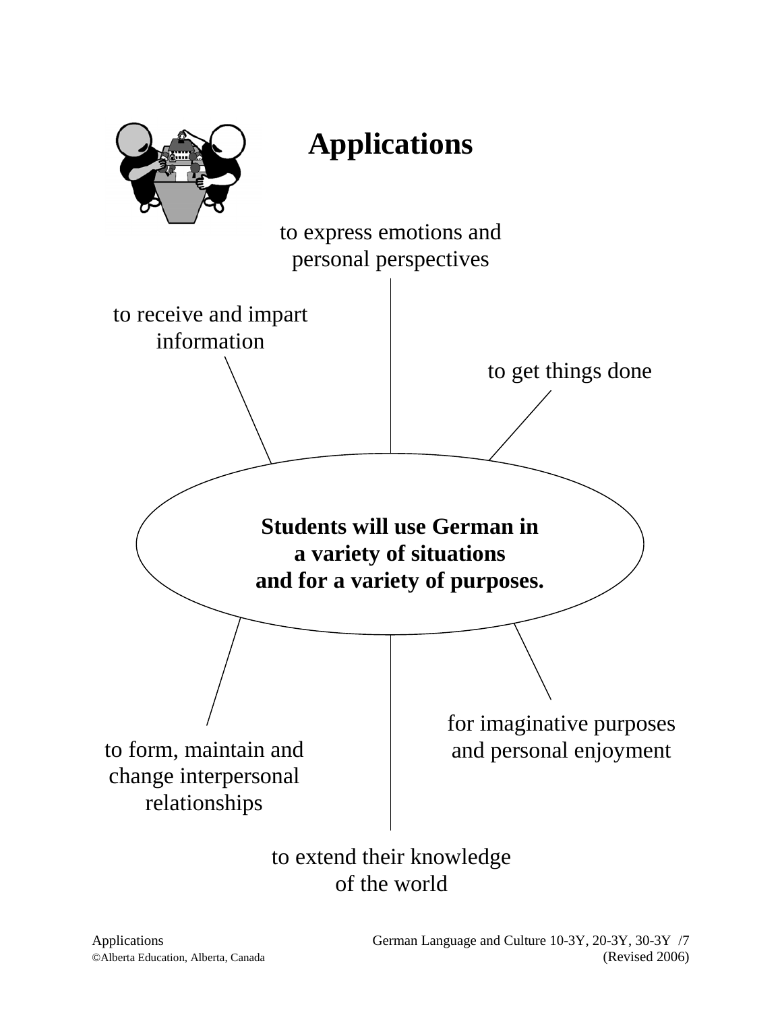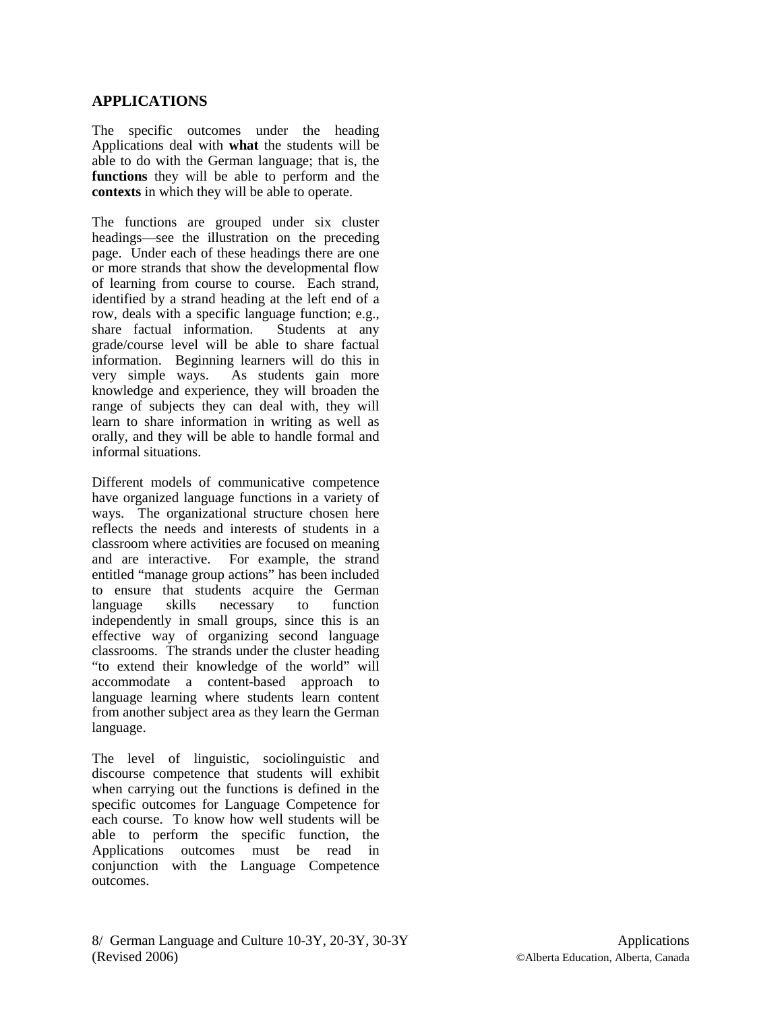#### **APPLICATIONS**

The specific outcomes under the heading Applications deal with **what** the students will be able to do with the German language; that is, the **functions** they will be able to perform and the **contexts** in which they will be able to operate.

The functions are grouped under six cluster headings—see the illustration on the preceding page. Under each of these headings there are one or more strands that show the developmental flow of learning from course to course. Each strand, identified by a strand heading at the left end of a row, deals with a specific language function; e.g., share factual information. Students at any grade/course level will be able to share factual information. Beginning learners will do this in very simple ways. As students gain more knowledge and experience, they will broaden the range of subjects they can deal with, they will learn to share information in writing as well as orally, and they will be able to handle formal and informal situations.

Different models of communicative competence have organized language functions in a variety of ways. The organizational structure chosen here reflects the needs and interests of students in a classroom where activities are focused on meaning and are interactive. For example, the strand entitled "manage group actions" has been included to ensure that students acquire the German language skills necessary to function independently in small groups, since this is an effective way of organizing second language classrooms. The strands under the cluster heading "to extend their knowledge of the world" will accommodate a content-based approach to language learning where students learn content from another subject area as they learn the German language.

The level of linguistic, sociolinguistic and discourse competence that students will exhibit when carrying out the functions is defined in the specific outcomes for Language Competence for each course. To know how well students will be able to perform the specific function, the Applications outcomes must be read in conjunction with the Language Competence outcomes.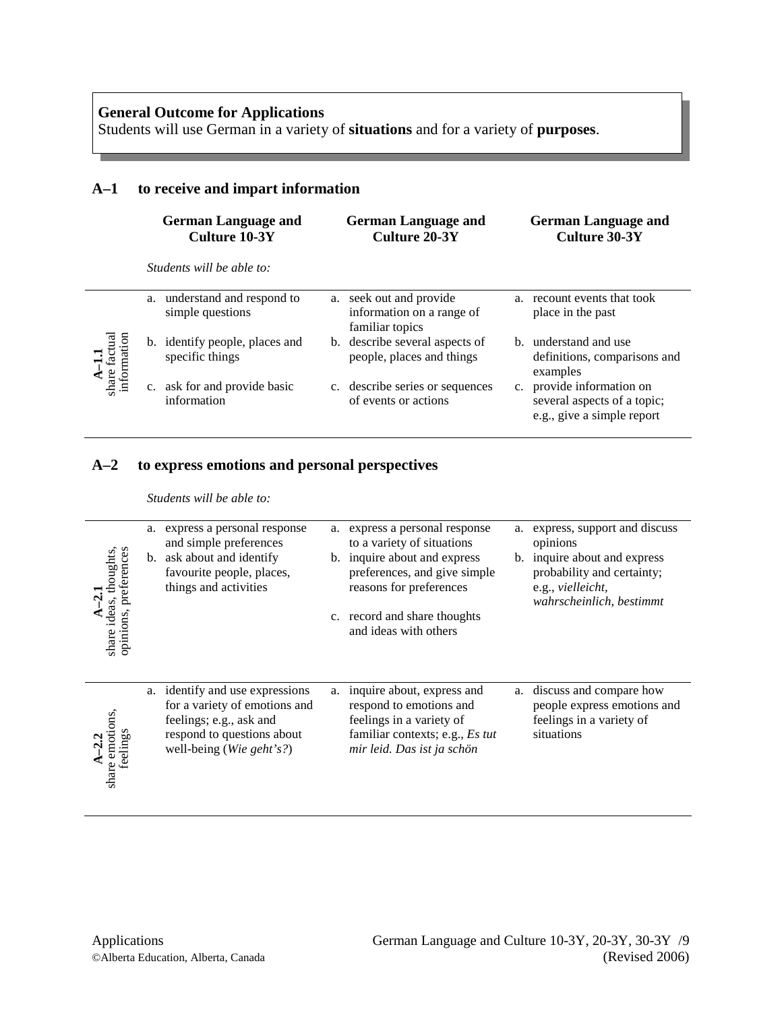Students will use German in a variety of **situations** and for a variety of **purposes**.

## **A–1 to receive and impart information**

|                                       | <b>German Language and</b><br><b>Culture 10-3Y</b> | <b>German Language and</b><br>Culture 20-3Y                             |         | <b>German Language and</b><br>Culture 30-3Y                                            |
|---------------------------------------|----------------------------------------------------|-------------------------------------------------------------------------|---------|----------------------------------------------------------------------------------------|
|                                       | Students will be able to:                          |                                                                         |         |                                                                                        |
|                                       | a. understand and respond to<br>simple questions   | a. seek out and provide<br>information on a range of<br>familiar topics |         | a. recount events that took<br>place in the past                                       |
| A-L.1<br>share factual<br>information | b. identify people, places and<br>specific things  | b. describe several aspects of<br>people, places and things             | $h_{-}$ | understand and use<br>definitions, comparisons and<br>examples                         |
|                                       | c. ask for and provide basic<br>information        | c. describe series or sequences<br>of events or actions                 |         | c. provide information on<br>several aspects of a topic;<br>e.g., give a simple report |

## **A–2 to express emotions and personal perspectives**

#### *Students will be able to:*

| thoughts,<br>sferences<br>ideas,<br>opinions<br>share | b. | a. express a personal response<br>and simple preferences<br>ask about and identify<br>favourite people, places,<br>things and activities           | b. | a. express a personal response<br>to a variety of situations<br>inquire about and express<br>preferences, and give simple<br>reasons for preferences<br>c. record and share thoughts<br>and ideas with others | a. | express, support and discuss<br>opinions<br>b. inquire about and express<br>probability and certainty;<br>e.g., vielleicht,<br>wahrscheinlich, bestimmt |
|-------------------------------------------------------|----|----------------------------------------------------------------------------------------------------------------------------------------------------|----|---------------------------------------------------------------------------------------------------------------------------------------------------------------------------------------------------------------|----|---------------------------------------------------------------------------------------------------------------------------------------------------------|
| share emotions,<br>öй<br>feelin                       | a. | identify and use expressions<br>for a variety of emotions and<br>feelings; e.g., ask and<br>respond to questions about<br>well-being (Wie geht's?) | a. | inquire about, express and<br>respond to emotions and<br>feelings in a variety of<br>familiar contexts; e.g., Es tut<br>mir leid. Das ist ja schön                                                            |    | a. discuss and compare how<br>people express emotions and<br>feelings in a variety of<br>situations                                                     |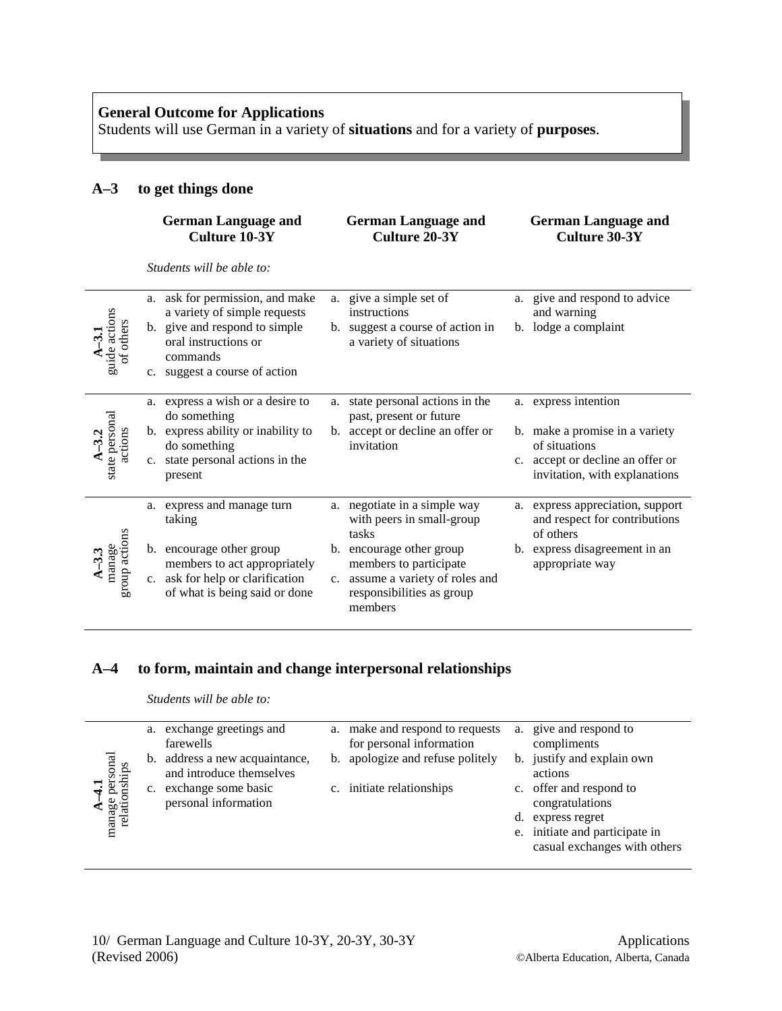Students will use German in a variety of **situations** and for a variety of **purposes**.

## **A–3 to get things done**

|                            | <b>German Language and</b><br><b>Culture 10-3Y</b>                                                                                                                    | <b>German Language and</b><br><b>Culture 20-3Y</b>                                                                                                                                                   | <b>German Language and</b><br>Culture 30-3Y                                                                                                  |
|----------------------------|-----------------------------------------------------------------------------------------------------------------------------------------------------------------------|------------------------------------------------------------------------------------------------------------------------------------------------------------------------------------------------------|----------------------------------------------------------------------------------------------------------------------------------------------|
|                            | Students will be able to:                                                                                                                                             |                                                                                                                                                                                                      |                                                                                                                                              |
| guide actions<br>of others | a. ask for permission, and make<br>a variety of simple requests<br>b. give and respond to simple<br>oral instructions or<br>commands<br>c. suggest a course of action | a. give a simple set of<br>instructions<br>b. suggest a course of action in<br>a variety of situations                                                                                               | a. give and respond to advice<br>and warning<br>b. lodge a complaint                                                                         |
| state personal<br>actions  | a. express a wish or a desire to<br>do something<br>b. express ability or inability to<br>do something<br>c. state personal actions in the<br>present                 | state personal actions in the<br>a.<br>past, present or future<br>b. accept or decline an offer or<br>invitation                                                                                     | a. express intention<br>b. make a promise in a variety<br>of situations<br>c. accept or decline an offer or<br>invitation, with explanations |
| group actions<br>manage    | a. express and manage turn<br>taking<br>b. encourage other group<br>members to act appropriately<br>c. ask for help or clarification<br>of what is being said or done | a. negotiate in a simple way<br>with peers in small-group<br>tasks<br>b. encourage other group<br>members to participate<br>c. assume a variety of roles and<br>responsibilities as group<br>members | a. express appreciation, support<br>and respect for contributions<br>of others<br>b. express disagreement in an<br>appropriate way           |

## **A–4 to form, maintain and change interpersonal relationships**

*Students will be able to:* 

| a. give and respond to<br>a. exchange greetings and<br>make and respond to requests<br>a.<br>for personal information<br>compliments<br>farewells<br>personal<br>mships<br>b. justify and explain own<br>b. apologize and refuse politely<br>b. address a new acquaintance,<br>and introduce themselves<br>actions<br>c. exchange some basic<br>c. initiate relationships<br>c. offer and respond to |  |
|------------------------------------------------------------------------------------------------------------------------------------------------------------------------------------------------------------------------------------------------------------------------------------------------------------------------------------------------------------------------------------------------------|--|
|                                                                                                                                                                                                                                                                                                                                                                                                      |  |
|                                                                                                                                                                                                                                                                                                                                                                                                      |  |
| manage po<br>relation:<br>personal information<br>congratulations<br>d. express regret<br>e. initiate and participate in<br>casual exchanges with others                                                                                                                                                                                                                                             |  |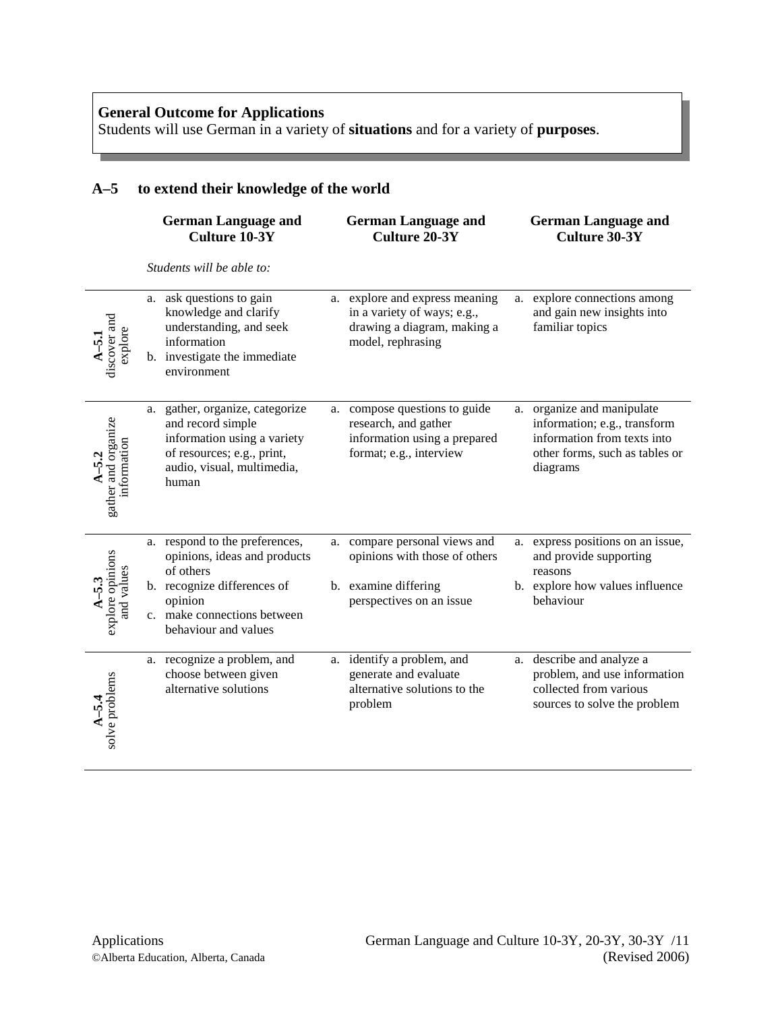Students will use German in a variety of **situations** and for a variety of **purposes**.

## **A–5 to extend their knowledge of the world**

|                                               | <b>German Language and</b><br><b>Culture 10-3Y</b>                                                                                                                           | <b>German Language and</b><br><b>Culture 20-3Y</b>                                                                 | <b>German Language and</b><br>Culture 30-3Y                                                                                             |
|-----------------------------------------------|------------------------------------------------------------------------------------------------------------------------------------------------------------------------------|--------------------------------------------------------------------------------------------------------------------|-----------------------------------------------------------------------------------------------------------------------------------------|
|                                               | Students will be able to:                                                                                                                                                    |                                                                                                                    |                                                                                                                                         |
| discover and<br>explore<br>$A - 5.1$          | a. ask questions to gain<br>knowledge and clarify<br>understanding, and seek<br>information<br>b. investigate the immediate<br>environment                                   | a. explore and express meaning<br>in a variety of ways; e.g.,<br>drawing a diagram, making a<br>model, rephrasing  | explore connections among<br>a.<br>and gain new insights into<br>familiar topics                                                        |
| $A-5.2$<br>gather and organize<br>information | gather, organize, categorize<br>a.<br>and record simple<br>information using a variety<br>of resources; e.g., print,<br>audio, visual, multimedia,<br>human                  | a. compose questions to guide<br>research, and gather<br>information using a prepared<br>format; e.g., interview   | a. organize and manipulate<br>information; e.g., transform<br>information from texts into<br>other forms, such as tables or<br>diagrams |
| $A-5.3$<br>explore opinions<br>and values     | a. respond to the preferences,<br>opinions, ideas and products<br>of others<br>b. recognize differences of<br>opinion<br>c. make connections between<br>behaviour and values | a. compare personal views and<br>opinions with those of others<br>b. examine differing<br>perspectives on an issue | a. express positions on an issue,<br>and provide supporting<br>reasons<br>b. explore how values influence<br>behaviour                  |
| solve problems                                | a. recognize a problem, and<br>choose between given<br>alternative solutions                                                                                                 | a. identify a problem, and<br>generate and evaluate<br>alternative solutions to the<br>problem                     | a. describe and analyze a<br>problem, and use information<br>collected from various<br>sources to solve the problem                     |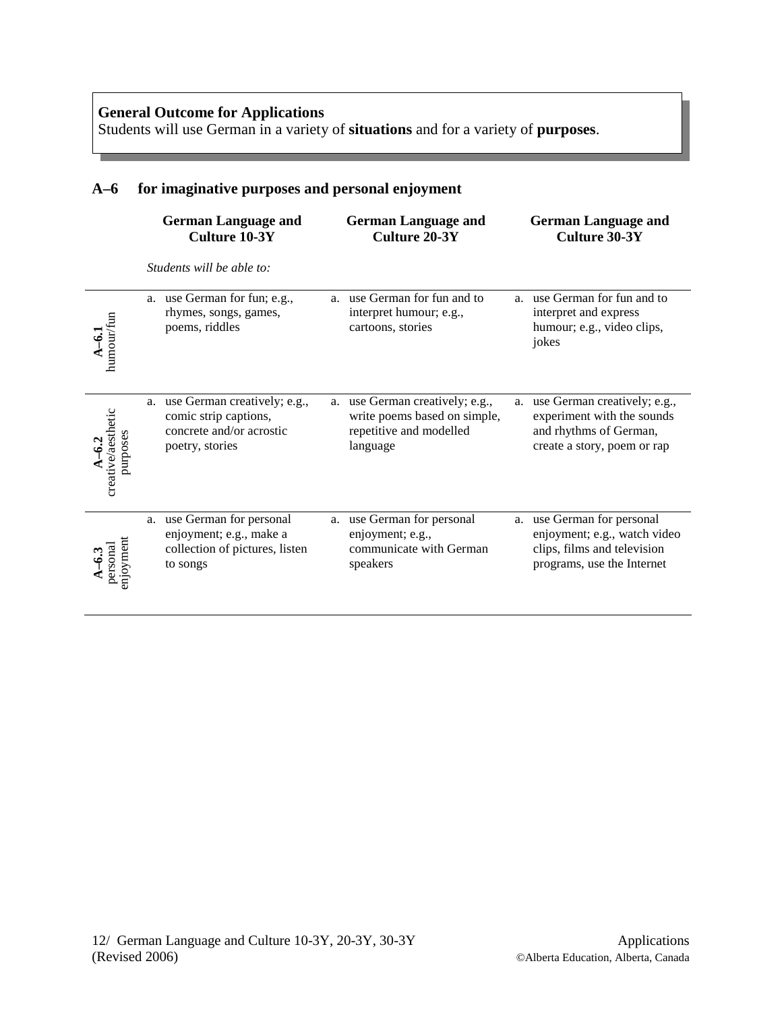$\frac{1}{2}$ 

Students will use German in a variety of **situations** and for a variety of **purposes**.

## **A–6 for imaginative purposes and personal enjoyment**

|                                             |    | <b>German Language and</b><br><b>Culture 10-3Y</b>                                                   |    | <b>German Language and</b><br><b>Culture 20-3Y</b>                                                  |    | <b>German Language and</b><br>Culture 30-3Y                                                                             |
|---------------------------------------------|----|------------------------------------------------------------------------------------------------------|----|-----------------------------------------------------------------------------------------------------|----|-------------------------------------------------------------------------------------------------------------------------|
|                                             |    | Students will be able to:                                                                            |    |                                                                                                     |    |                                                                                                                         |
| $A-6.1$<br>humour/fun                       |    | a. use German for fun; e.g.,<br>rhymes, songs, games,<br>poems, riddles                              |    | a. use German for fun and to<br>interpret humour; e.g.,<br>cartoons, stories                        |    | a. use German for fun and to<br>interpret and express<br>humour; e.g., video clips,<br>jokes                            |
| creative/aesthetic<br>purposes<br>$A - 6.2$ | a. | use German creatively; e.g.,<br>comic strip captions,<br>concrete and/or acrostic<br>poetry, stories | a. | use German creatively; e.g.,<br>write poems based on simple,<br>repetitive and modelled<br>language | a. | use German creatively; e.g.,<br>experiment with the sounds<br>and rhythms of German,<br>create a story, poem or rap     |
| personal<br>enjoyment<br>$A-6.3$            |    | a. use German for personal<br>enjoyment; e.g., make a<br>collection of pictures, listen<br>to songs  |    | a. use German for personal<br>enjoyment; e.g.,<br>communicate with German<br>speakers               |    | a. use German for personal<br>enjoyment; e.g., watch video<br>clips, films and television<br>programs, use the Internet |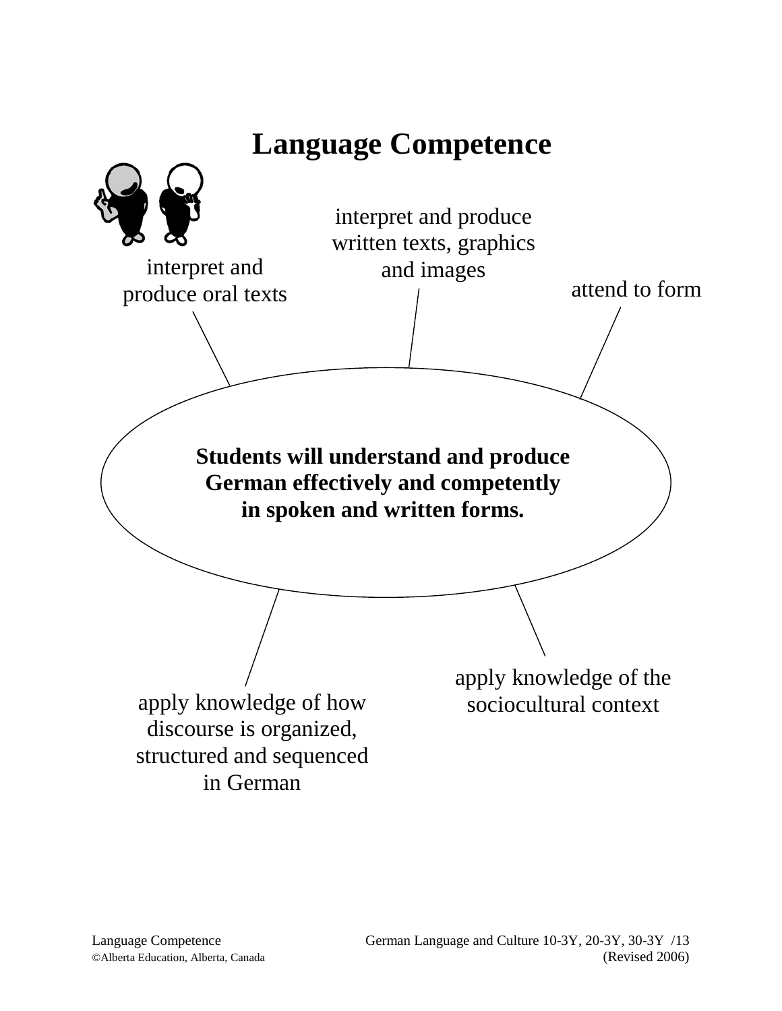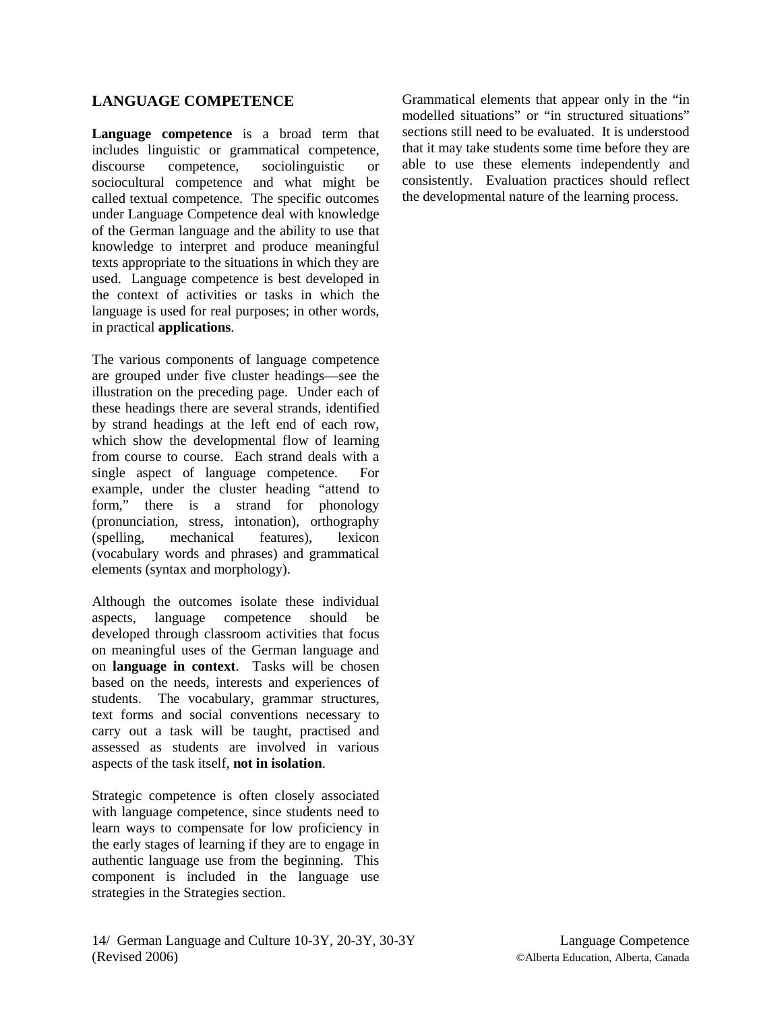## **LANGUAGE COMPETENCE**

**Language competence** is a broad term that includes linguistic or grammatical competence, discourse competence, sociolinguistic or sociocultural competence and what might be called textual competence. The specific outcomes under Language Competence deal with knowledge of the German language and the ability to use that knowledge to interpret and produce meaningful texts appropriate to the situations in which they are used. Language competence is best developed in the context of activities or tasks in which the language is used for real purposes; in other words, in practical **applications**.

The various components of language competence are grouped under five cluster headings—see the illustration on the preceding page. Under each of these headings there are several strands, identified by strand headings at the left end of each row, which show the developmental flow of learning from course to course. Each strand deals with a single aspect of language competence. For example, under the cluster heading "attend to form," there is a strand for phonology (pronunciation, stress, intonation), orthography (spelling, mechanical features), lexicon (vocabulary words and phrases) and grammatical elements (syntax and morphology).

Although the outcomes isolate these individual aspects, language competence should be developed through classroom activities that focus on meaningful uses of the German language and on **language in context**. Tasks will be chosen based on the needs, interests and experiences of students. The vocabulary, grammar structures, text forms and social conventions necessary to carry out a task will be taught, practised and assessed as students are involved in various aspects of the task itself, **not in isolation**.

Strategic competence is often closely associated with language competence, since students need to learn ways to compensate for low proficiency in the early stages of learning if they are to engage in authentic language use from the beginning. This component is included in the language use strategies in the Strategies section.

Grammatical elements that appear only in the "in modelled situations" or "in structured situations" sections still need to be evaluated. It is understood that it may take students some time before they are able to use these elements independently and consistently. Evaluation practices should reflect the developmental nature of the learning process.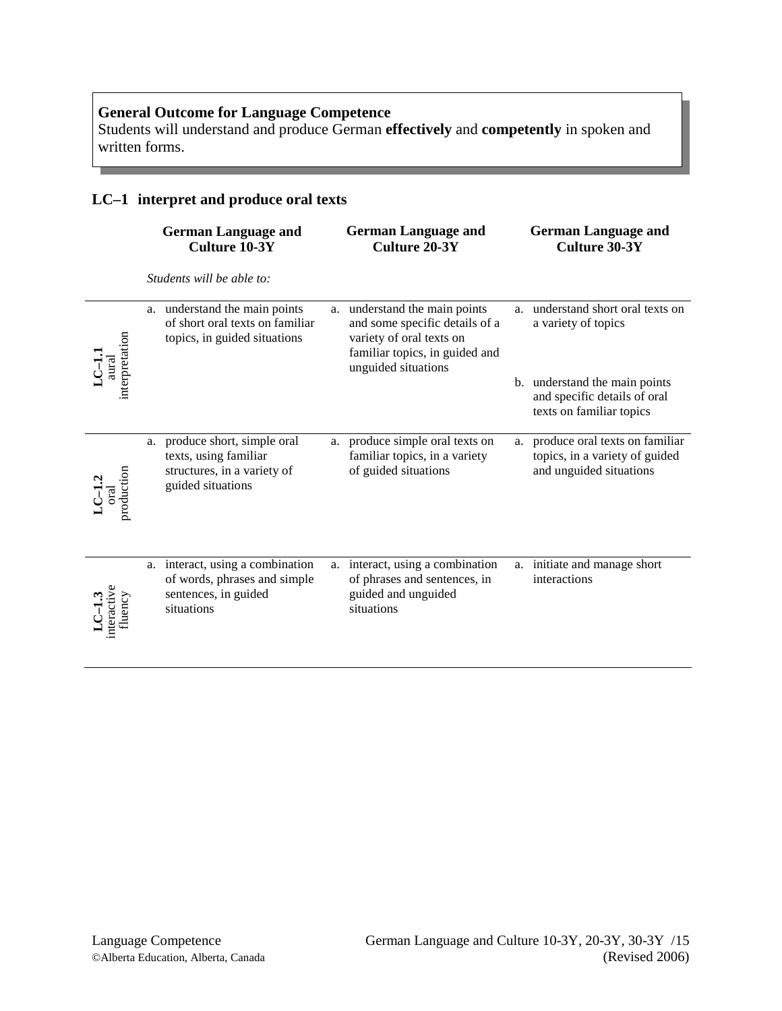Students will understand and produce German **effectively** and **competently** in spoken and written forms.

## **LC–1 interpret and produce oral texts**

|                                  |    | <b>German Language and</b><br><b>Culture 10-3Y</b>                                                      | <b>German Language and</b><br><b>Culture 20-3Y</b>                                                                                                   | <b>German Language and</b><br>Culture 30-3Y                                                    |
|----------------------------------|----|---------------------------------------------------------------------------------------------------------|------------------------------------------------------------------------------------------------------------------------------------------------------|------------------------------------------------------------------------------------------------|
|                                  |    | Students will be able to:                                                                               |                                                                                                                                                      |                                                                                                |
| aural<br>interpretation          |    | a. understand the main points<br>of short oral texts on familiar<br>topics, in guided situations        | a. understand the main points<br>and some specific details of a<br>variety of oral texts on<br>familiar topics, in guided and<br>unguided situations | a. understand short oral texts on<br>a variety of topics                                       |
|                                  |    |                                                                                                         |                                                                                                                                                      | b. understand the main points<br>and specific details of oral<br>texts on familiar topics      |
| production<br>$\overline{C}$ and | a. | produce short, simple oral<br>texts, using familiar<br>structures, in a variety of<br>guided situations | a. produce simple oral texts on<br>familiar topics, in a variety<br>of guided situations                                                             | a. produce oral texts on familiar<br>topics, in a variety of guided<br>and unguided situations |
| interactive<br>fluency           |    | a. interact, using a combination<br>of words, phrases and simple<br>sentences, in guided<br>situations  | a. interact, using a combination<br>of phrases and sentences, in<br>guided and unguided<br>situations                                                | a. initiate and manage short<br>interactions                                                   |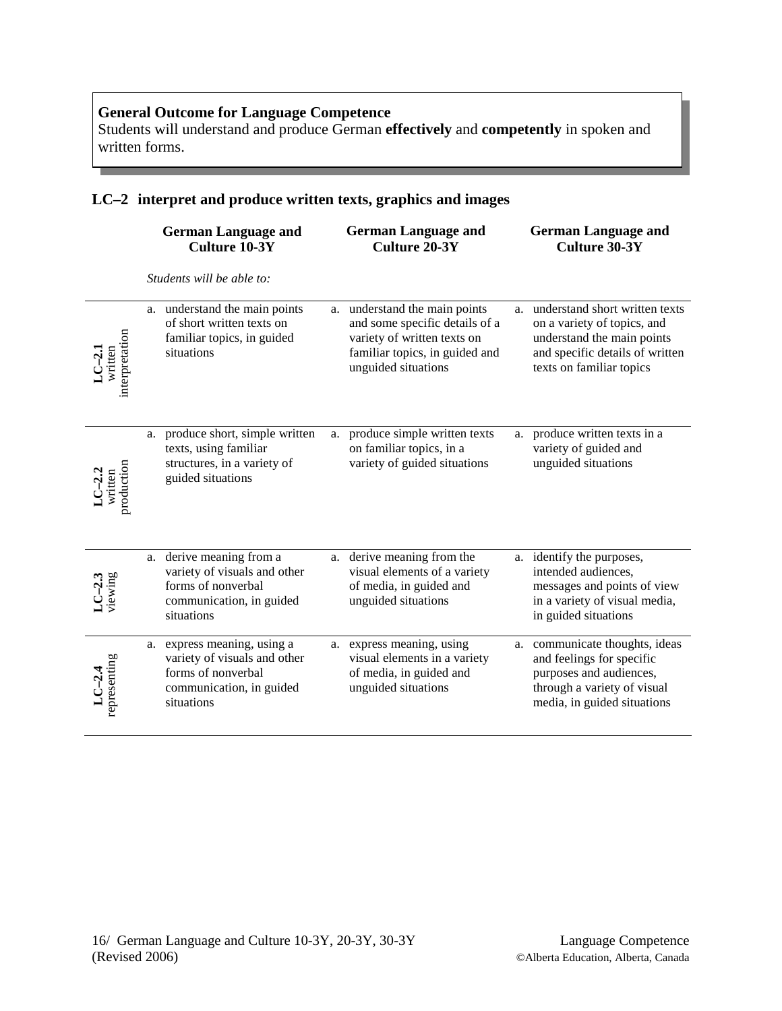Students will understand and produce German **effectively** and **competently** in spoken and written forms.

## **LC–2 interpret and produce written texts, graphics and images**

|                           | <b>German Language and</b><br><b>Culture 10-3Y</b>                                                                          |    | <b>German Language and</b><br><b>Culture 20-3Y</b>                                                                                                      | <b>German Language and</b><br>Culture 30-3Y                                                                                                                   |
|---------------------------|-----------------------------------------------------------------------------------------------------------------------------|----|---------------------------------------------------------------------------------------------------------------------------------------------------------|---------------------------------------------------------------------------------------------------------------------------------------------------------------|
|                           | Students will be able to:                                                                                                   |    |                                                                                                                                                         |                                                                                                                                                               |
| interpretation<br>written | a. understand the main points<br>of short written texts on<br>familiar topics, in guided<br>situations                      |    | a. understand the main points<br>and some specific details of a<br>variety of written texts on<br>familiar topics, in guided and<br>unguided situations | a. understand short written texts<br>on a variety of topics, and<br>understand the main points<br>and specific details of written<br>texts on familiar topics |
| production<br>written     | a. produce short, simple written<br>texts, using familiar<br>structures, in a variety of<br>guided situations               | a. | produce simple written texts<br>on familiar topics, in a<br>variety of guided situations                                                                | a. produce written texts in a<br>variety of guided and<br>unguided situations                                                                                 |
| $LC-2.3$<br>viewing       | a. derive meaning from a<br>variety of visuals and other<br>forms of nonverbal<br>communication, in guided<br>situations    |    | a. derive meaning from the<br>visual elements of a variety<br>of media, in guided and<br>unguided situations                                            | a. identify the purposes,<br>intended audiences,<br>messages and points of view<br>in a variety of visual media,<br>in guided situations                      |
| representing<br>$LC-2.4$  | a. express meaning, using a<br>variety of visuals and other<br>forms of nonverbal<br>communication, in guided<br>situations |    | a. express meaning, using<br>visual elements in a variety<br>of media, in guided and<br>unguided situations                                             | a. communicate thoughts, ideas<br>and feelings for specific<br>purposes and audiences,<br>through a variety of visual<br>media, in guided situations          |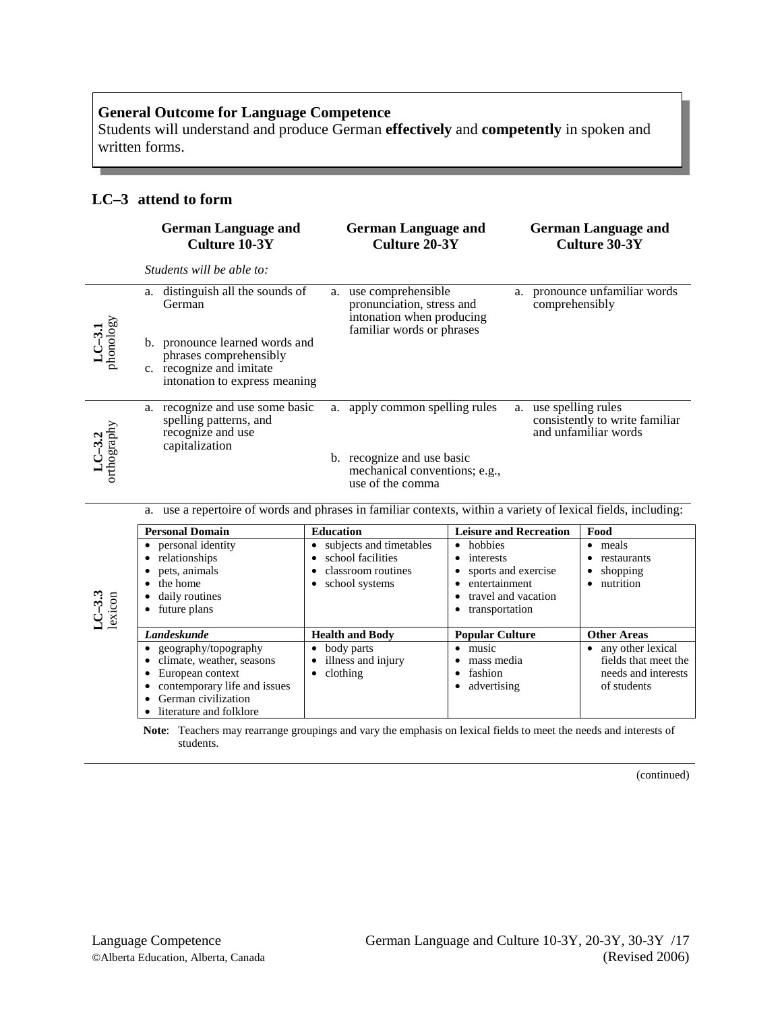Students will understand and produce German **effectively** and **competently** in spoken and written forms.

## **LC–3 attend to form**

|                                 | <b>German Language and</b><br><b>Culture 10-3Y</b>                                                                    | <b>German Language and</b><br>Culture 20-3Y                                                                     | <b>German Language and</b><br>Culture 30-3Y                                     |
|---------------------------------|-----------------------------------------------------------------------------------------------------------------------|-----------------------------------------------------------------------------------------------------------------|---------------------------------------------------------------------------------|
|                                 | Students will be able to:                                                                                             |                                                                                                                 |                                                                                 |
|                                 | distinguish all the sounds of<br>a.<br>German                                                                         | use comprehensible<br>a.<br>pronunciation, stress and<br>intonation when producing<br>familiar words or phrases | a. pronounce unfamiliar words<br>comprehensibly                                 |
| $_{\rm phonology}^{\rm LC-3.1}$ | b. pronounce learned words and<br>phrases comprehensibly<br>c. recognize and imitate<br>intonation to express meaning |                                                                                                                 |                                                                                 |
|                                 | recognize and use some basic<br>a.<br>spelling patterns, and<br>recognize and use<br>capitalization                   | a. apply common spelling rules                                                                                  | a. use spelling rules<br>consistently to write familiar<br>and unfamiliar words |
| LC-3.2<br>orthography           |                                                                                                                       | b. recognize and use basic<br>mechanical conventions; e.g.,<br>use of the comma                                 |                                                                                 |

a. use a repertoire of words and phrases in familiar contexts, within a variety of lexical fields, including:

|                     | <b>Personal Domain</b>                                                                                                                                  | <b>Education</b>                                                                                         | <b>Leisure and Recreation</b>                                                                                                                                               | Food                                                                            |
|---------------------|---------------------------------------------------------------------------------------------------------------------------------------------------------|----------------------------------------------------------------------------------------------------------|-----------------------------------------------------------------------------------------------------------------------------------------------------------------------------|---------------------------------------------------------------------------------|
| $LC-3.3$<br>lexicon | personal identity<br>relationships<br>pets, animals<br>the home<br>• daily routines<br>• future plans                                                   | subjects and timetables<br>٠<br>school facilities<br>٠<br>classroom routines<br>٠<br>school systems<br>٠ | hobbies<br>$\bullet$<br>interests<br>$\bullet$<br>sports and exercise<br>$\bullet$<br>entertainment<br>$\bullet$<br>travel and vacation<br>$\bullet$<br>transportation<br>٠ | meals<br>restaurants<br>shopping<br>nutrition                                   |
|                     | Landeskunde                                                                                                                                             | <b>Health and Body</b>                                                                                   | <b>Popular Culture</b>                                                                                                                                                      | <b>Other Areas</b>                                                              |
|                     | geography/topography<br>climate, weather, seasons<br>European context<br>contemporary life and issues<br>German civilization<br>literature and folklore | body parts<br>$\bullet$<br>illness and injury<br>٠<br>clothing<br>$\bullet$                              | music<br>٠<br>mass media<br>$\bullet$<br>fashion<br>٠<br>advertising<br>٠                                                                                                   | any other lexical<br>fields that meet the<br>needs and interests<br>of students |

**Note**: Teachers may rearrange groupings and vary the emphasis on lexical fields to meet the needs and interests of students.

(continued)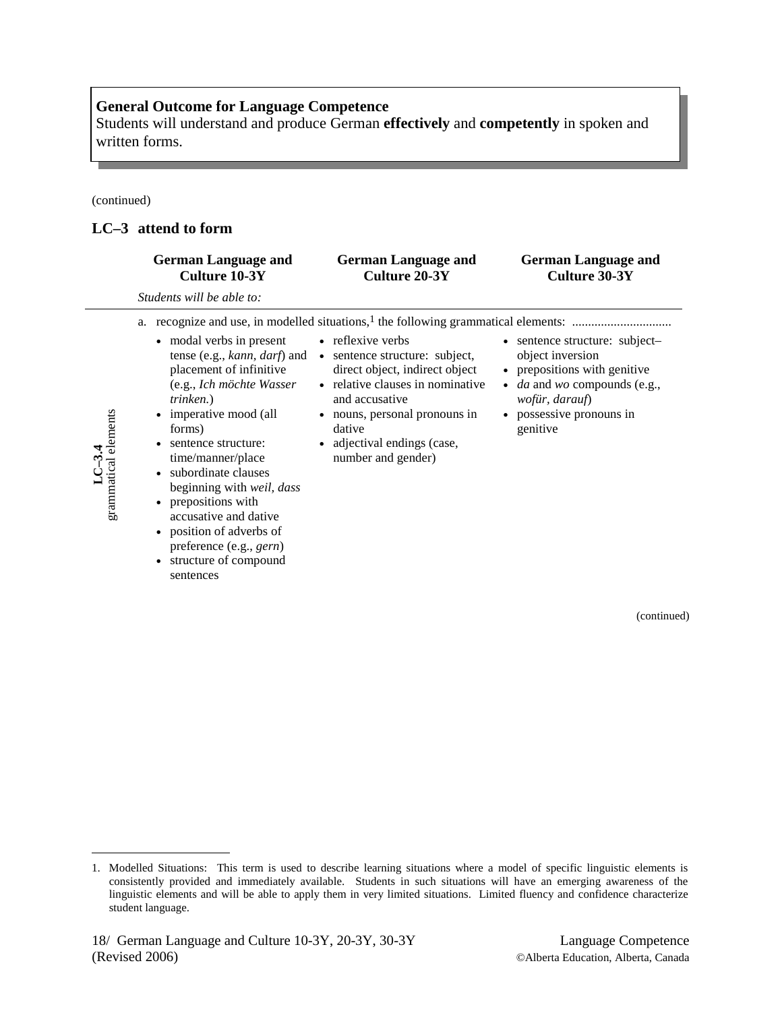Students will understand and produce German **effectively** and **competently** in spoken and written forms.

(continued)

#### **LC–3 attend to form**

|                      | <b>German Language and</b><br>Culture 10-3Y                                                                                                                                                                                                                                                                                                                                                                                               | <b>German Language and</b><br>Culture 20-3Y                                                                                                                                                                                                                                                    | <b>German Language and</b><br>Culture 30-3Y                                                                                                                                              |
|----------------------|-------------------------------------------------------------------------------------------------------------------------------------------------------------------------------------------------------------------------------------------------------------------------------------------------------------------------------------------------------------------------------------------------------------------------------------------|------------------------------------------------------------------------------------------------------------------------------------------------------------------------------------------------------------------------------------------------------------------------------------------------|------------------------------------------------------------------------------------------------------------------------------------------------------------------------------------------|
|                      | Students will be able to:                                                                                                                                                                                                                                                                                                                                                                                                                 |                                                                                                                                                                                                                                                                                                |                                                                                                                                                                                          |
| grammatical elements | a.<br>• modal verbs in present<br>placement of infinitive<br>(e.g., Ich möchte Wasser<br><i>trinken.</i> )<br>imperative mood (all<br>$\bullet$<br>forms)<br>sentence structure:<br>time/manner/place<br>subordinate clauses<br>$\bullet$<br>beginning with weil, dass<br>prepositions with<br>$\bullet$<br>accusative and dative<br>position of adverbs of<br>preference (e.g., gern)<br>structure of compound<br>$\bullet$<br>sentences | • reflexive verbs<br>tense (e.g., kann, darf) and • sentence structure: subject,<br>direct object, indirect object<br>• relative clauses in nominative<br>and accusative<br>nouns, personal pronouns in<br>$\bullet$<br>dative<br>adjectival endings (case,<br>$\bullet$<br>number and gender) | • sentence structure: subject-<br>object inversion<br>• prepositions with genitive<br>• <i>da</i> and <i>wo</i> compounds (e.g.,<br>wofür, darauf)<br>possessive pronouns in<br>genitive |

(continued)

<sup>1.</sup> Modelled Situations: This term is used to describe learning situations where a model of specific linguistic elements is consistently provided and immediately available. Students in such situations will have an emerging awareness of the linguistic elements and will be able to apply them in very limited situations. Limited fluency and confidence characterize student language.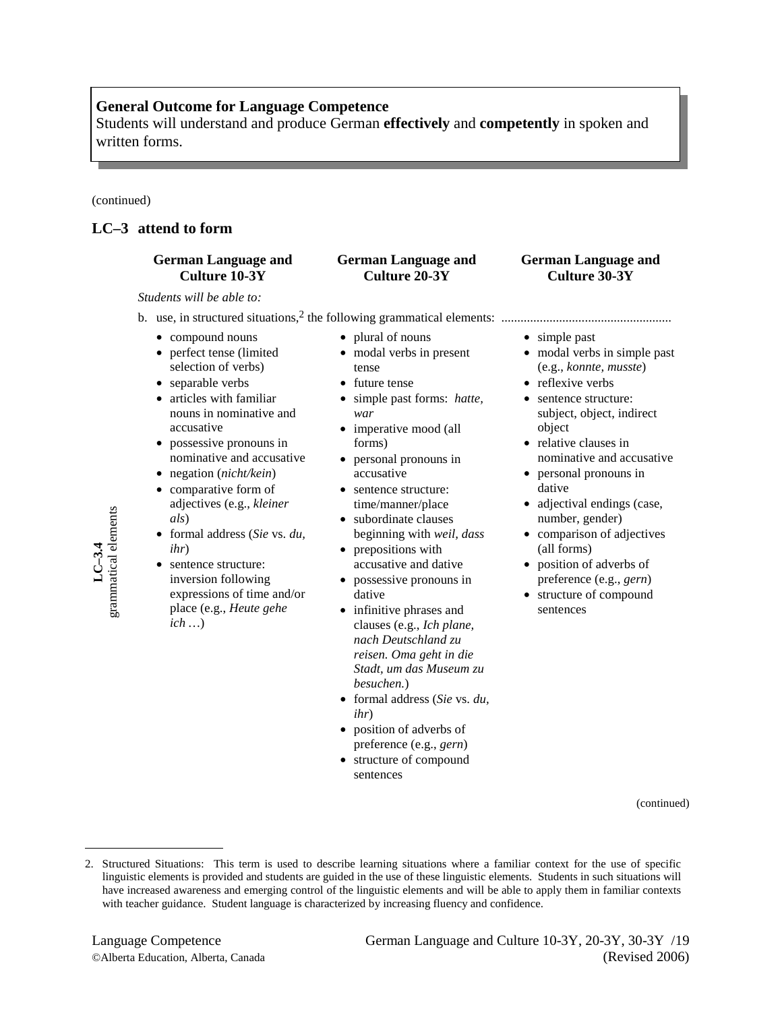Students will understand and produce German **effectively** and **competently** in spoken and written forms.

(continued)

#### **LC–3 attend to form**

#### **German Language and Culture 10-3Y**

#### **German Language and Culture 20-3Y**

*Students will be able to:*

- b. use, in structured situations,2 the following grammatical elements: .....................................................
	- compound nouns
	- perfect tense (limited selection of verbs)
	- separable verbs
	- articles with familiar nouns in nominative and accusative
	- possessive pronouns in nominative and accusative
	- negation (*nicht/kein*)
	- comparative form of adjectives (e.g., *kleiner als*)
	- formal address (*Sie* vs. *du, ihr*)
	- sentence structure: inversion following expressions of time and/or place (e.g., *Heute gehe ich …*)
- plural of nouns
- modal verbs in present tense
- future tense
- simple past forms: hatte, *war*
- imperative mood (all forms)
- personal pronouns in accusative
- sentence structure: time/manner/place
- subordinate clauses beginning with *weil, dass*
- prepositions with accusative and dative
- possessive pronouns in dative
- infinitive phrases and clauses (e.g., *Ich plane, nach Deutschland zu reisen. Oma geht in die Stadt, um das Museum zu besuchen.*)
- formal address (*Sie* vs. *du, ihr*)
- position of adverbs of preference (e.g., *gern*)
- structure of compound sentences
- **German Language and Culture 30-3Y**
- simple past
- modal verbs in simple past (e.g., *konnte, musste*)
- reflexive verbs
- sentence structure: subject, object, indirect object
- relative clauses in nominative and accusative
- personal pronouns in dative
- adjectival endings (case, number, gender)
- comparison of adjectives (all forms)
- position of adverbs of preference (e.g., *gern*)
- structure of compound sentences

(continued)

2. Structured Situations: This term is used to describe learning situations where a familiar context for the use of specific linguistic elements is provided and students are guided in the use of these linguistic elements. Students in such situations will have increased awareness and emerging control of the linguistic elements and will be able to apply them in familiar contexts with teacher guidance. Student language is characterized by increasing fluency and confidence.

grammatical elements grammatical elements **LC–3.4**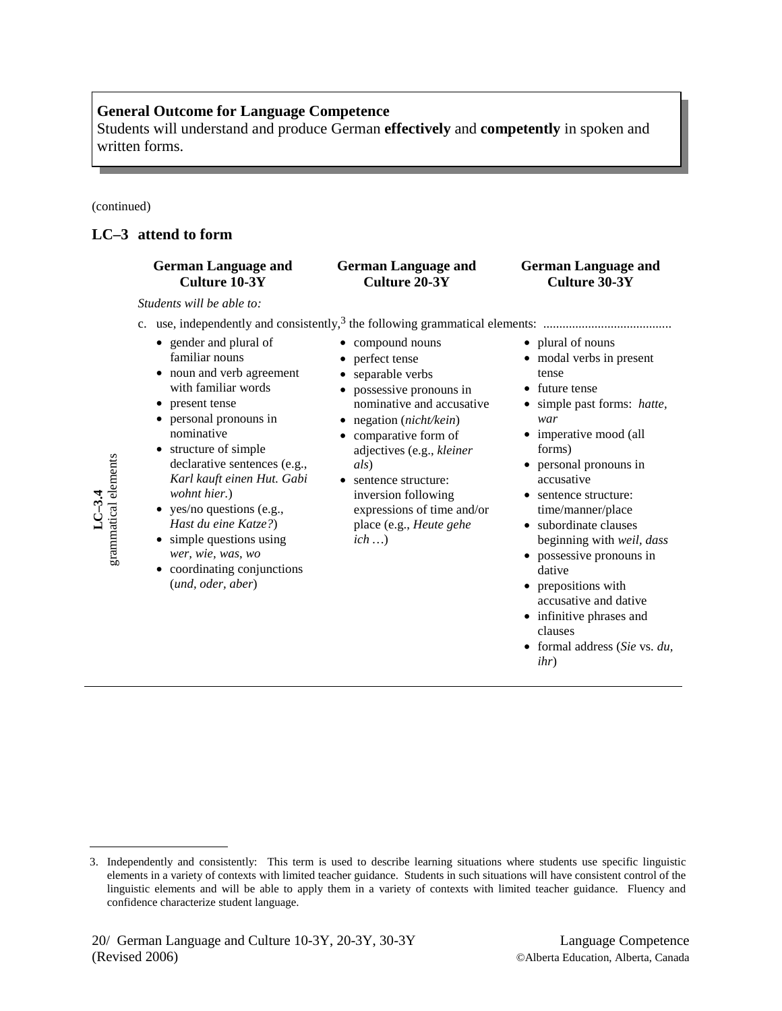(continued) Students will understand and produce German **effectively** and **competently** in spoken and written forms.

(continued)

#### **LC–3 attend to form**

#### **German Language and Culture 10-3Y**

#### **German Language and Culture 20-3Y**

#### **German Language and Culture 30-3Y**

*Students will be able to:*

- c. use, independently and consistently,3 the following grammatical elements: ........................................
	- gender and plural of familiar nouns
	- noun and verb agreement with familiar words
	- present tense
	- personal pronouns in nominative
	- structure of simple declarative sentences (e.g., *Karl kauft einen Hut. Gabi wohnt hier.*)
	- yes/no questions (e.g., *Hast du eine Katze?*)
	- simple questions using *wer, wie, was, wo*
	- coordinating conjunctions (*und, oder, aber*)
- compound nouns
- perfect tense
- separable verbs
- possessive pronouns in nominative and accusative
- negation (*nicht/kein*)
- comparative form of adjectives (e.g., *kleiner als*)
- sentence structure: inversion following expressions of time and/or place (e.g., *Heute gehe ich …*)
- plural of nouns
- modal verbs in present tense
- future tense
- simple past forms: *hatte, war*
- imperative mood (all forms)
- personal pronouns in accusative
- sentence structure: time/manner/place
- subordinate clauses beginning with *weil, dass*
- possessive pronouns in dative
- prepositions with accusative and dative
- infinitive phrases and clauses
- formal address (*Sie* vs. *du, ihr*)

grammatical elements grammatical elements **LC–3.4** 

<sup>3.</sup> Independently and consistently: This term is used to describe learning situations where students use specific linguistic elements in a variety of contexts with limited teacher guidance. Students in such situations will have consistent control of the linguistic elements and will be able to apply them in a variety of contexts with limited teacher guidance. Fluency and confidence characterize student language.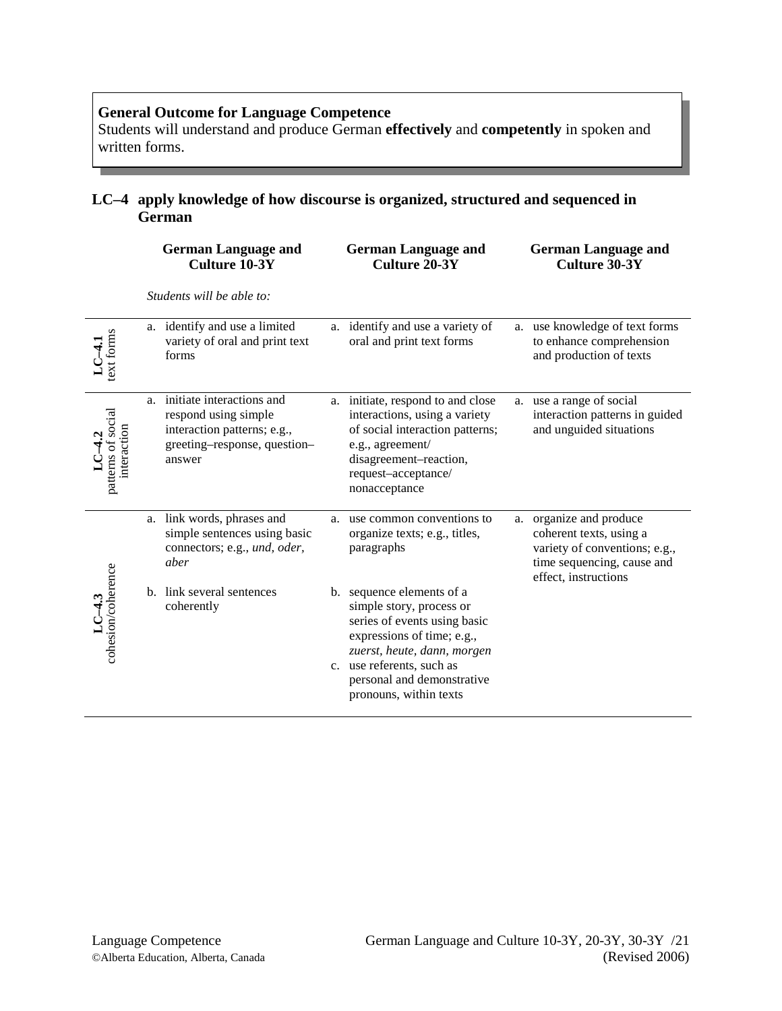Students will understand and produce German **effectively** and **competently** in spoken and written forms.

## **LC–4 apply knowledge of how discourse is organized, structured and sequenced in German**

|                                             | <b>German Language and</b><br><b>Culture 10-3Y</b>                                                                            | <b>German Language and</b><br>Culture 20-3Y                                                                                                                                                                                             | <b>German Language and</b><br>Culture 30-3Y                                                                                               |
|---------------------------------------------|-------------------------------------------------------------------------------------------------------------------------------|-----------------------------------------------------------------------------------------------------------------------------------------------------------------------------------------------------------------------------------------|-------------------------------------------------------------------------------------------------------------------------------------------|
|                                             | Students will be able to:                                                                                                     |                                                                                                                                                                                                                                         |                                                                                                                                           |
| text forms                                  | a. identify and use a limited<br>variety of oral and print text<br>forms                                                      | a. identify and use a variety of<br>oral and print text forms                                                                                                                                                                           | a. use knowledge of text forms<br>to enhance comprehension<br>and production of texts                                                     |
| LC-4.2<br>patterns of social<br>interaction | a. initiate interactions and<br>respond using simple<br>interaction patterns; e.g.,<br>greeting-response, question-<br>answer | a. initiate, respond to and close<br>interactions, using a variety<br>of social interaction patterns;<br>e.g., agreement/<br>disagreement-reaction,<br>request-acceptance/<br>nonacceptance                                             | a. use a range of social<br>interaction patterns in guided<br>and unguided situations                                                     |
|                                             | a. link words, phrases and<br>simple sentences using basic<br>connectors; e.g., und, oder,<br>aber                            | a. use common conventions to<br>organize texts; e.g., titles,<br>paragraphs                                                                                                                                                             | a. organize and produce<br>coherent texts, using a<br>variety of conventions; e.g.,<br>time sequencing, cause and<br>effect, instructions |
| cohesion/coherence                          | b. link several sentences<br>coherently                                                                                       | b. sequence elements of a<br>simple story, process or<br>series of events using basic<br>expressions of time; e.g.,<br>zuerst, heute, dann, morgen<br>c. use referents, such as<br>personal and demonstrative<br>pronouns, within texts |                                                                                                                                           |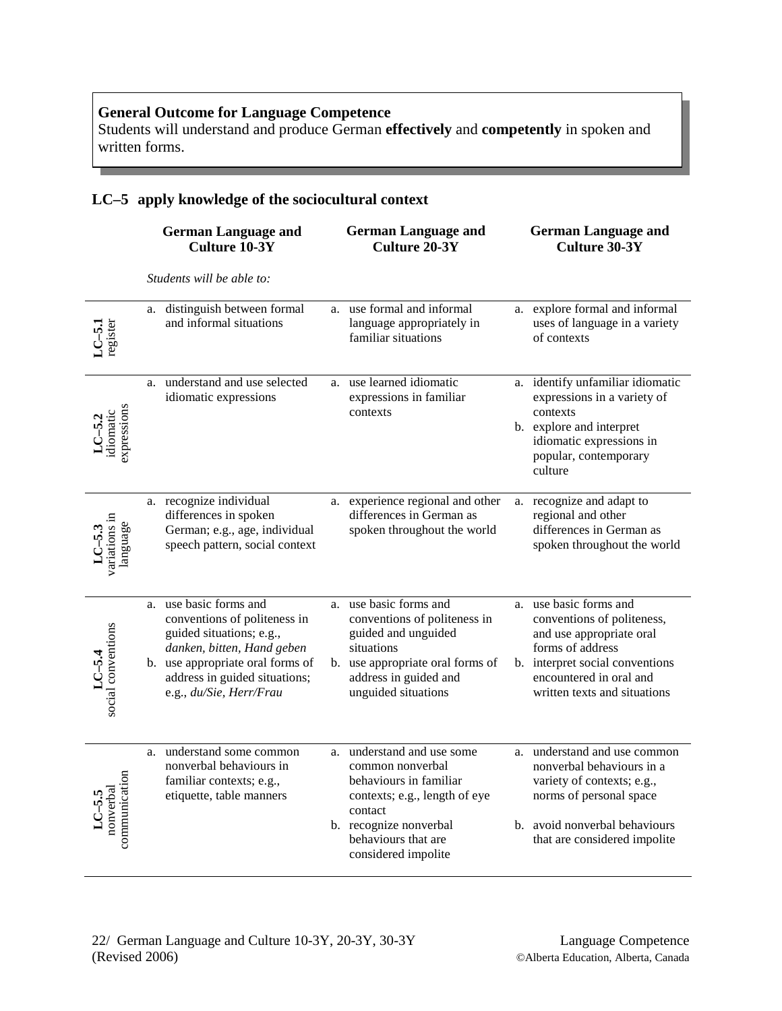Students will understand and produce German **effectively** and **competently** in spoken and written forms.

## **LC–5 apply knowledge of the sociocultural context**

|                                        | <b>German Language and</b><br><b>Culture 10-3Y</b>                                                                                                                                                               | <b>German Language and</b><br><b>Culture 20-3Y</b>                                                                                                                                           | <b>German Language and</b><br><b>Culture 30-3Y</b>                                                                                                                                                 |
|----------------------------------------|------------------------------------------------------------------------------------------------------------------------------------------------------------------------------------------------------------------|----------------------------------------------------------------------------------------------------------------------------------------------------------------------------------------------|----------------------------------------------------------------------------------------------------------------------------------------------------------------------------------------------------|
|                                        | Students will be able to:                                                                                                                                                                                        |                                                                                                                                                                                              |                                                                                                                                                                                                    |
| register                               | a. distinguish between formal<br>and informal situations                                                                                                                                                         | a. use formal and informal<br>language appropriately in<br>familiar situations                                                                                                               | a. explore formal and informal<br>uses of language in a variety<br>of contexts                                                                                                                     |
| expressions<br>$LC-5.2$<br>idiomatic   | a. understand and use selected<br>idiomatic expressions                                                                                                                                                          | a. use learned idiomatic<br>expressions in familiar<br>contexts                                                                                                                              | a. identify unfamiliar idiomatic<br>expressions in a variety of<br>contexts<br>b. explore and interpret<br>idiomatic expressions in<br>popular, contemporary<br>culture                            |
| $LC$ –5.3<br>variations in<br>language | a. recognize individual<br>differences in spoken<br>German; e.g., age, individual<br>speech pattern, social context                                                                                              | experience regional and other<br>a.<br>differences in German as<br>spoken throughout the world                                                                                               | a. recognize and adapt to<br>regional and other<br>differences in German as<br>spoken throughout the world                                                                                         |
| social conventions                     | a. use basic forms and<br>conventions of politeness in<br>guided situations; e.g.,<br>danken, bitten, Hand geben<br>b. use appropriate oral forms of<br>address in guided situations;<br>e.g., du/Sie, Herr/Frau | a. use basic forms and<br>conventions of politeness in<br>guided and unguided<br>situations<br>b. use appropriate oral forms of<br>address in guided and<br>unguided situations              | a. use basic forms and<br>conventions of politeness,<br>and use appropriate oral<br>forms of address<br>b. interpret social conventions<br>encountered in oral and<br>written texts and situations |
| communication<br>$LC-5.5$<br>nonverbal | a. understand some common<br>nonverbal behaviours in<br>familiar contexts; e.g.,<br>etiquette, table manners                                                                                                     | a. understand and use some<br>common nonverbal<br>behaviours in familiar<br>contexts; e.g., length of eye<br>contact<br>b. recognize nonverbal<br>behaviours that are<br>considered impolite | a. understand and use common<br>nonverbal behaviours in a<br>variety of contexts; e.g.,<br>norms of personal space<br>b. avoid nonverbal behaviours<br>that are considered impolite                |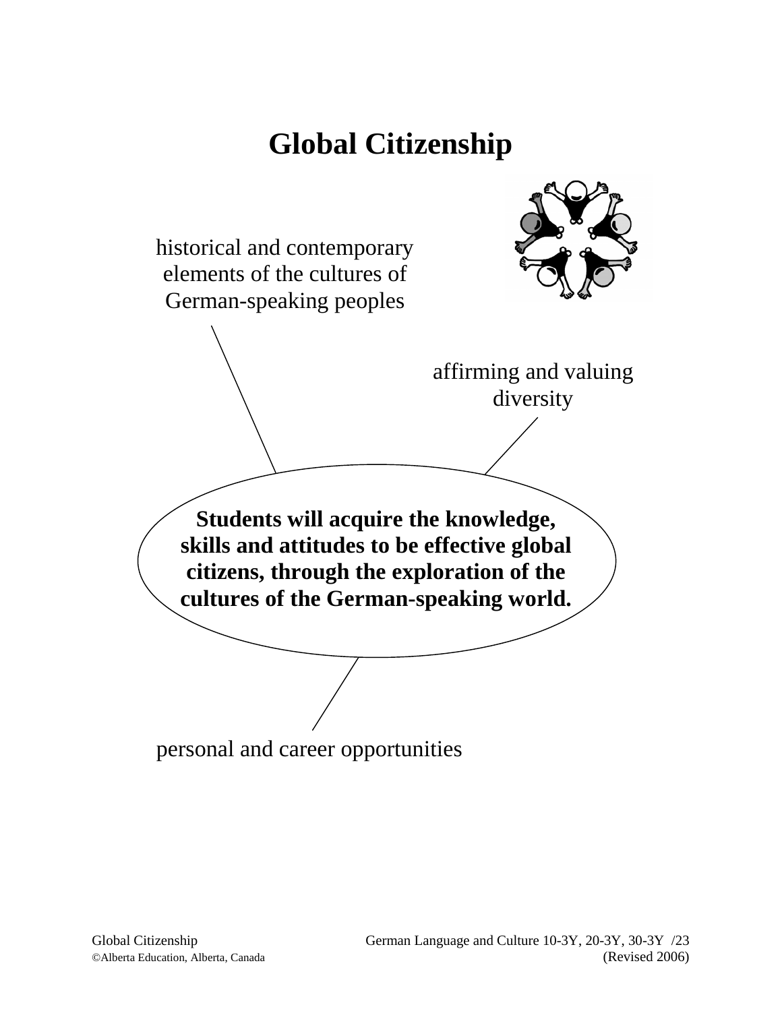# **Global Citizenship**



affirming and valuing diversity

**Students will acquire the knowledge, skills and attitudes to be effective global citizens, through the exploration of the cultures of the German-speaking world.** 

personal and career opportunities

historical and contemporary elements of the cultures of

German-speaking peoples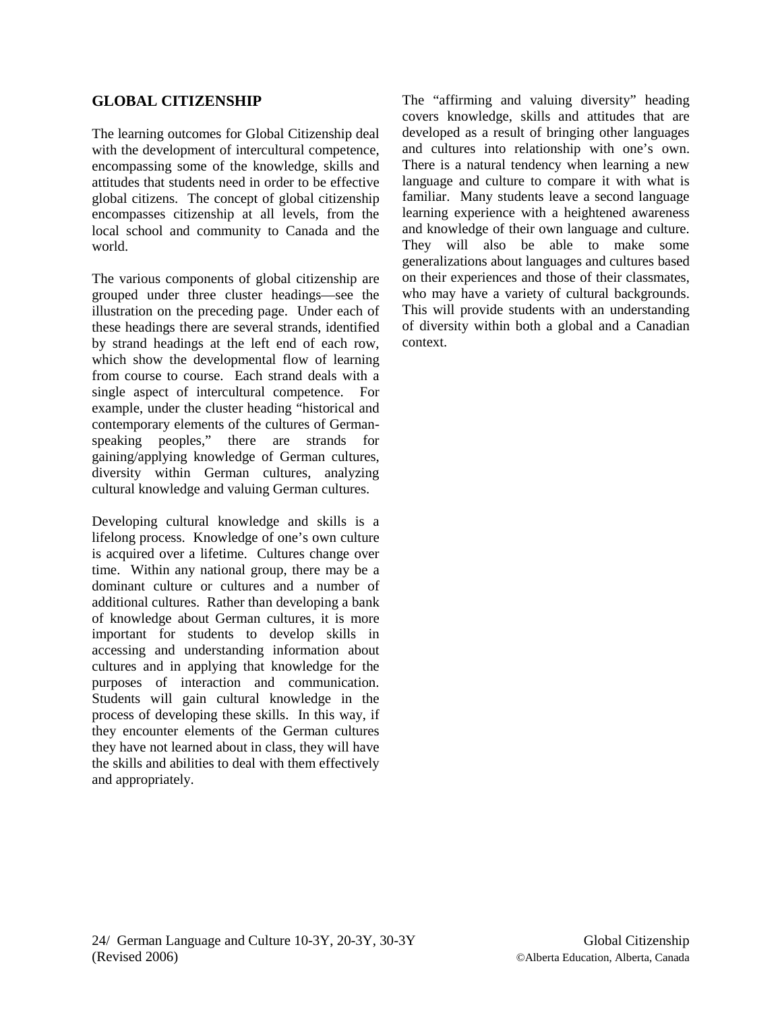## **GLOBAL CITIZENSHIP**

The learning outcomes for Global Citizenship deal with the development of intercultural competence, encompassing some of the knowledge, skills and attitudes that students need in order to be effective global citizens. The concept of global citizenship encompasses citizenship at all levels, from the local school and community to Canada and the world.

The various components of global citizenship are grouped under three cluster headings—see the illustration on the preceding page. Under each of these headings there are several strands, identified by strand headings at the left end of each row, which show the developmental flow of learning from course to course. Each strand deals with a single aspect of intercultural competence. For example, under the cluster heading "historical and contemporary elements of the cultures of Germanspeaking peoples," there are strands for gaining/applying knowledge of German cultures, diversity within German cultures, analyzing cultural knowledge and valuing German cultures.

Developing cultural knowledge and skills is a lifelong process. Knowledge of one's own culture is acquired over a lifetime. Cultures change over time. Within any national group, there may be a dominant culture or cultures and a number of additional cultures. Rather than developing a bank of knowledge about German cultures, it is more important for students to develop skills in accessing and understanding information about cultures and in applying that knowledge for the purposes of interaction and communication. Students will gain cultural knowledge in the process of developing these skills. In this way, if they encounter elements of the German cultures they have not learned about in class, they will have the skills and abilities to deal with them effectively and appropriately.

The "affirming and valuing diversity" heading covers knowledge, skills and attitudes that are developed as a result of bringing other languages and cultures into relationship with one's own. There is a natural tendency when learning a new language and culture to compare it with what is familiar. Many students leave a second language learning experience with a heightened awareness and knowledge of their own language and culture. They will also be able to make some generalizations about languages and cultures based on their experiences and those of their classmates, who may have a variety of cultural backgrounds. This will provide students with an understanding of diversity within both a global and a Canadian context.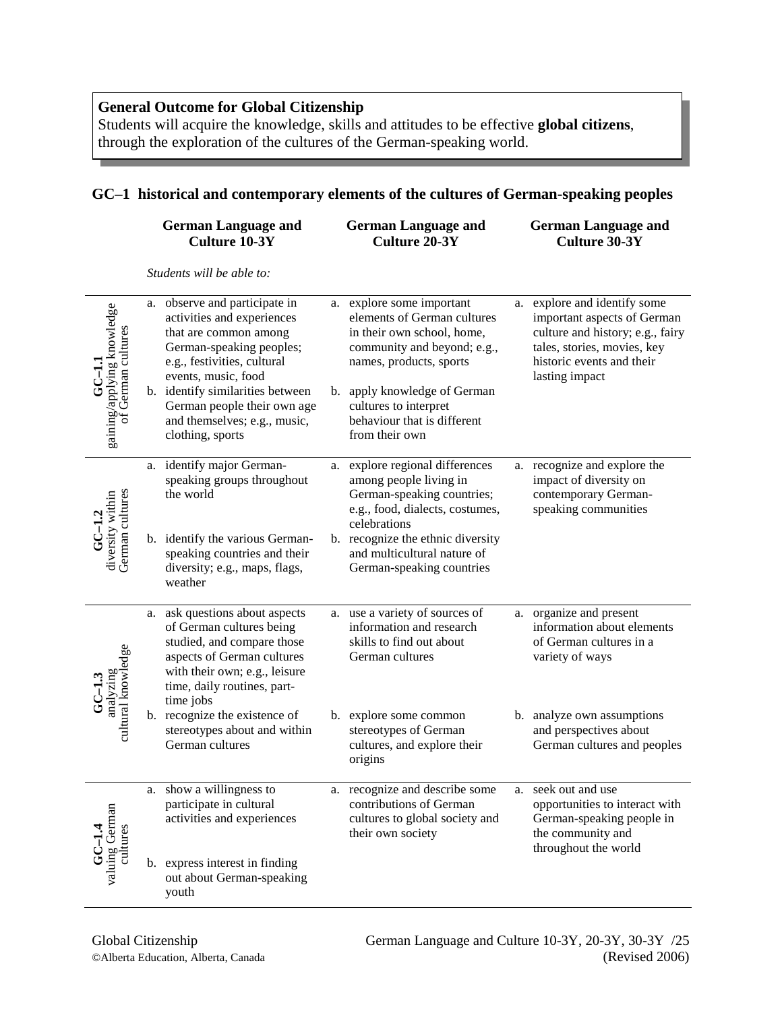Students will acquire the knowledge, skills and attitudes to be effective **global citizens**, through the exploration of the cultures of the German-speaking world.

## **GC–1 historical and contemporary elements of the cultures of German-speaking peoples**

|                                                                   | <b>German Language and</b><br><b>Culture 10-3Y</b>                                                                                                                                                                                                                        |    | <b>German Language and</b><br>Culture 20-3Y                                                                                                                                                                                              | <b>German Language and</b><br><b>Culture 30-3Y</b>                                                                                                                            |
|-------------------------------------------------------------------|---------------------------------------------------------------------------------------------------------------------------------------------------------------------------------------------------------------------------------------------------------------------------|----|------------------------------------------------------------------------------------------------------------------------------------------------------------------------------------------------------------------------------------------|-------------------------------------------------------------------------------------------------------------------------------------------------------------------------------|
|                                                                   | Students will be able to:                                                                                                                                                                                                                                                 |    |                                                                                                                                                                                                                                          |                                                                                                                                                                               |
| gaining/applying knowledge<br>of German cultures<br><b>GC-1.1</b> | a. observe and participate in<br>activities and experiences<br>that are common among<br>German-speaking peoples;<br>e.g., festivities, cultural<br>events, music, food<br>b. identify similarities between<br>German people their own age<br>and themselves; e.g., music, |    | a. explore some important<br>elements of German cultures<br>in their own school, home,<br>community and beyond; e.g.,<br>names, products, sports<br>b. apply knowledge of German<br>cultures to interpret<br>behaviour that is different | a. explore and identify some<br>important aspects of German<br>culture and history; e.g., fairy<br>tales, stories, movies, key<br>historic events and their<br>lasting impact |
|                                                                   | clothing, sports                                                                                                                                                                                                                                                          |    | from their own                                                                                                                                                                                                                           |                                                                                                                                                                               |
| $GC-1.2$<br>diversity within<br>German cultures                   | a. identify major German-<br>speaking groups throughout<br>the world                                                                                                                                                                                                      | a. | explore regional differences<br>among people living in<br>German-speaking countries;<br>e.g., food, dialects, costumes,<br>celebrations                                                                                                  | a. recognize and explore the<br>impact of diversity on<br>contemporary German-<br>speaking communities                                                                        |
|                                                                   | b. identify the various German-<br>speaking countries and their<br>diversity; e.g., maps, flags,<br>weather                                                                                                                                                               |    | b. recognize the ethnic diversity<br>and multicultural nature of<br>German-speaking countries                                                                                                                                            |                                                                                                                                                                               |
| analyzing<br>cultural knowledge                                   | a. ask questions about aspects<br>of German cultures being<br>studied, and compare those<br>aspects of German cultures<br>with their own; e.g., leisure<br>time, daily routines, part-<br>time jobs                                                                       |    | a. use a variety of sources of<br>information and research<br>skills to find out about<br>German cultures                                                                                                                                | a. organize and present<br>information about elements<br>of German cultures in a<br>variety of ways                                                                           |
|                                                                   | b. recognize the existence of<br>stereotypes about and within<br>German cultures                                                                                                                                                                                          |    | b. explore some common<br>stereotypes of German<br>cultures, and explore their<br>origins                                                                                                                                                | b. analyze own assumptions<br>and perspectives about<br>German cultures and peoples                                                                                           |
| valuing German<br>$G - 1.4$<br>cultures                           | a. show a willingness to<br>participate in cultural<br>activities and experiences                                                                                                                                                                                         |    | a. recognize and describe some<br>contributions of German<br>cultures to global society and<br>their own society                                                                                                                         | a. seek out and use<br>opportunities to interact with<br>German-speaking people in<br>the community and<br>throughout the world                                               |
|                                                                   | b. express interest in finding<br>out about German-speaking<br>youth                                                                                                                                                                                                      |    |                                                                                                                                                                                                                                          |                                                                                                                                                                               |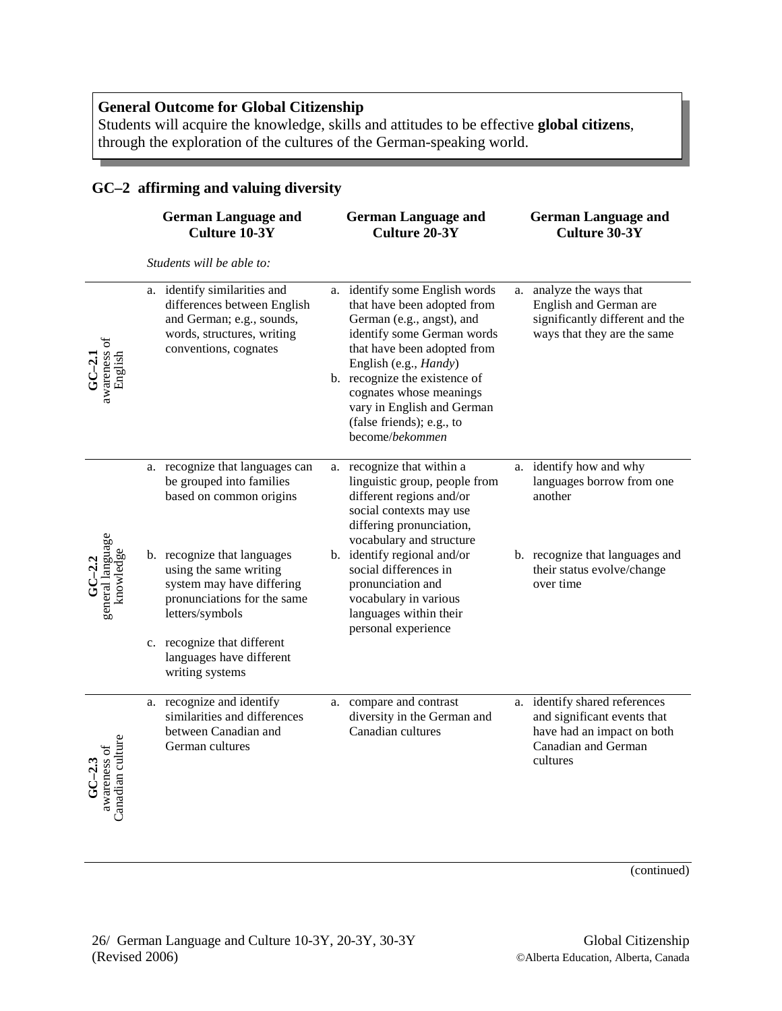Students will acquire the knowledge, skills and attitudes to be effective **global citizens**, through the exploration of the cultures of the German-speaking world.

## **GC–2 affirming and valuing diversity**

**GC–2.1** 

**GC–2.2** 

**GC–2.3** 

|                                  | <b>German Language and</b><br><b>Culture 10-3Y</b>                                                                                              | <b>German Language and</b><br><b>Culture 20-3Y</b>                                                                                                                                                                                                                                                                         |    | <b>German Language and</b><br><b>Culture 30-3Y</b>                                                                            |
|----------------------------------|-------------------------------------------------------------------------------------------------------------------------------------------------|----------------------------------------------------------------------------------------------------------------------------------------------------------------------------------------------------------------------------------------------------------------------------------------------------------------------------|----|-------------------------------------------------------------------------------------------------------------------------------|
|                                  | Students will be able to:                                                                                                                       |                                                                                                                                                                                                                                                                                                                            |    |                                                                                                                               |
| awareness of<br>English          | a. identify similarities and<br>differences between English<br>and German; e.g., sounds,<br>words, structures, writing<br>conventions, cognates | a. identify some English words<br>that have been adopted from<br>German (e.g., angst), and<br>identify some German words<br>that have been adopted from<br>English (e.g., Handy)<br>b. recognize the existence of<br>cognates whose meanings<br>vary in English and German<br>(false friends); e.g., to<br>become/bekommen | a. | analyze the ways that<br>English and German are<br>significantly different and the<br>ways that they are the same             |
|                                  | a. recognize that languages can<br>be grouped into families<br>based on common origins                                                          | a. recognize that within a<br>linguistic group, people from<br>different regions and/or<br>social contexts may use<br>differing pronunciation,<br>vocabulary and structure                                                                                                                                                 |    | a. identify how and why<br>languages borrow from one<br>another                                                               |
| general language<br>knowledge    | b. recognize that languages<br>using the same writing<br>system may have differing<br>pronunciations for the same<br>letters/symbols            | b. identify regional and/or<br>social differences in<br>pronunciation and<br>vocabulary in various<br>languages within their<br>personal experience                                                                                                                                                                        |    | b. recognize that languages and<br>their status evolve/change<br>over time                                                    |
|                                  | c. recognize that different<br>languages have different<br>writing systems                                                                      |                                                                                                                                                                                                                                                                                                                            |    |                                                                                                                               |
| Canadian culture<br>awareness of | a. recognize and identify<br>similarities and differences<br>between Canadian and<br>German cultures                                            | a. compare and contrast<br>diversity in the German and<br>Canadian cultures                                                                                                                                                                                                                                                |    | a. identify shared references<br>and significant events that<br>have had an impact on both<br>Canadian and German<br>cultures |

(continued)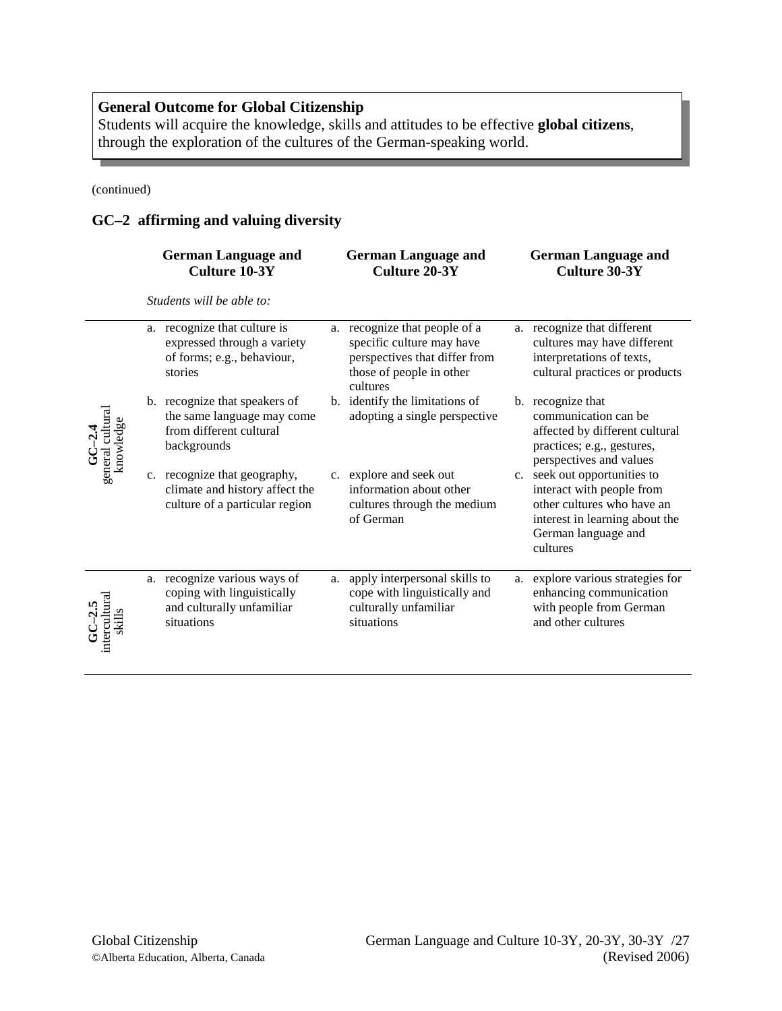Students will acquire the knowledge, skills and attitudes to be effective **global citizens**, through the exploration of the cultures of the German-speaking world.

(continued)

## **GC–2 affirming and valuing diversity**

|                               | <b>German Language and</b><br><b>Culture 10-3Y</b>                                                    |    | <b>German Language and</b><br><b>Culture 20-3Y</b>                                                                                  | <b>German Language and</b><br>Culture 30-3Y                                                                                                                  |
|-------------------------------|-------------------------------------------------------------------------------------------------------|----|-------------------------------------------------------------------------------------------------------------------------------------|--------------------------------------------------------------------------------------------------------------------------------------------------------------|
|                               | Students will be able to:                                                                             |    |                                                                                                                                     |                                                                                                                                                              |
|                               | a. recognize that culture is<br>expressed through a variety<br>of forms; e.g., behaviour,<br>stories  |    | a. recognize that people of a<br>specific culture may have<br>perspectives that differ from<br>those of people in other<br>cultures | a. recognize that different<br>cultures may have different<br>interpretations of texts,<br>cultural practices or products                                    |
| general cultural<br>knowledge | b. recognize that speakers of<br>the same language may come<br>from different cultural<br>backgrounds |    | b. identify the limitations of<br>adopting a single perspective                                                                     | b. recognize that<br>communication can be<br>affected by different cultural<br>practices; e.g., gestures,<br>perspectives and values                         |
|                               | c. recognize that geography,<br>climate and history affect the<br>culture of a particular region      |    | c. explore and seek out<br>information about other<br>cultures through the medium<br>of German                                      | c. seek out opportunities to<br>interact with people from<br>other cultures who have an<br>interest in learning about the<br>German language and<br>cultures |
| intercultural<br>skills       | a. recognize various ways of<br>coping with linguistically<br>and culturally unfamiliar<br>situations | a. | apply interpersonal skills to<br>cope with linguistically and<br>culturally unfamiliar<br>situations                                | a. explore various strategies for<br>enhancing communication<br>with people from German<br>and other cultures                                                |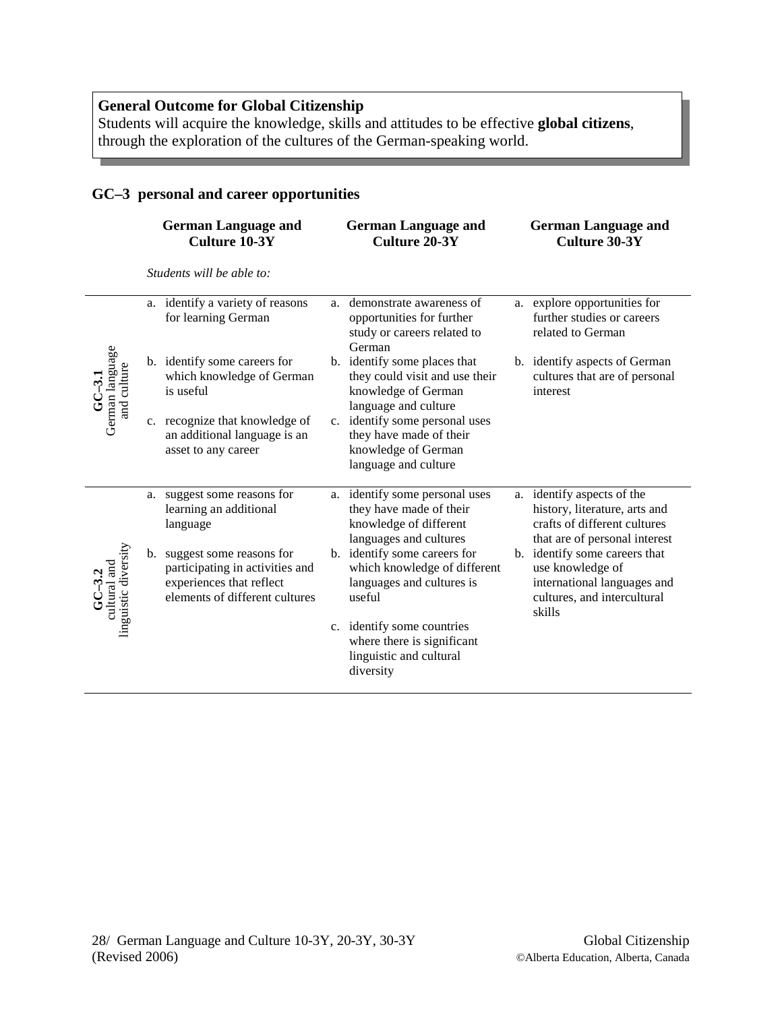Students will acquire the knowledge, skills and attitudes to be effective **global citizens**, through the exploration of the cultures of the German-speaking world.

## **GC–3 personal and career opportunities**

|                                                  | <b>German Language and</b><br><b>Culture 10-3Y</b>                                                                           | <b>German Language and</b><br><b>Culture 20-3Y</b>                                                            | <b>German Language and</b><br>Culture 30-3Y                                                                                  |
|--------------------------------------------------|------------------------------------------------------------------------------------------------------------------------------|---------------------------------------------------------------------------------------------------------------|------------------------------------------------------------------------------------------------------------------------------|
|                                                  | Students will be able to:                                                                                                    |                                                                                                               |                                                                                                                              |
| German language<br>and culture<br>$GC-3.1$       | a. identify a variety of reasons<br>for learning German                                                                      | a. demonstrate awareness of<br>opportunities for further<br>study or careers related to<br>German             | a. explore opportunities for<br>further studies or careers<br>related to German                                              |
|                                                  | b. identify some careers for<br>which knowledge of German<br>is useful                                                       | b. identify some places that<br>they could visit and use their<br>knowledge of German<br>language and culture | b. identify aspects of German<br>cultures that are of personal<br>interest                                                   |
|                                                  | c. recognize that knowledge of<br>an additional language is an<br>asset to any career                                        | c. identify some personal uses<br>they have made of their<br>knowledge of German<br>language and culture      |                                                                                                                              |
|                                                  | a. suggest some reasons for<br>learning an additional<br>language                                                            | a. identify some personal uses<br>they have made of their<br>knowledge of different<br>languages and cultures | a. identify aspects of the<br>history, literature, arts and<br>crafts of different cultures<br>that are of personal interest |
| linguistic diversity<br>$GC-3.2$<br>cultural and | b. suggest some reasons for<br>participating in activities and<br>experiences that reflect<br>elements of different cultures | b. identify some careers for<br>which knowledge of different<br>languages and cultures is<br>useful           | b. identify some careers that<br>use knowledge of<br>international languages and<br>cultures, and intercultural<br>skills    |
|                                                  |                                                                                                                              | c. identify some countries<br>where there is significant<br>linguistic and cultural<br>diversity              |                                                                                                                              |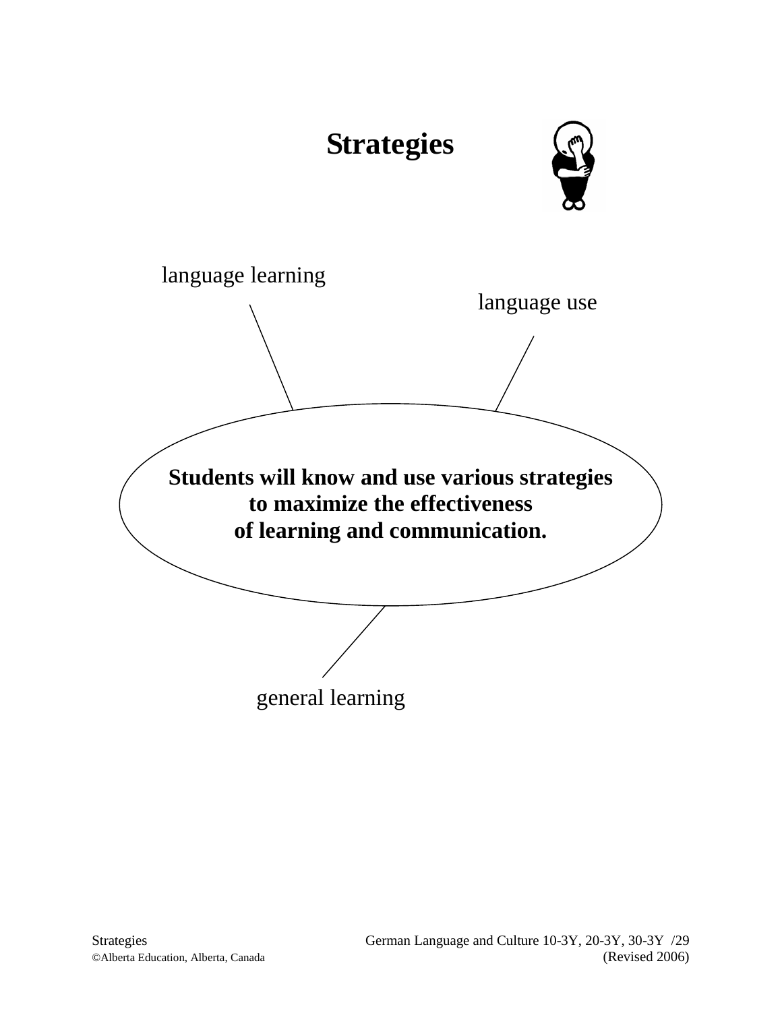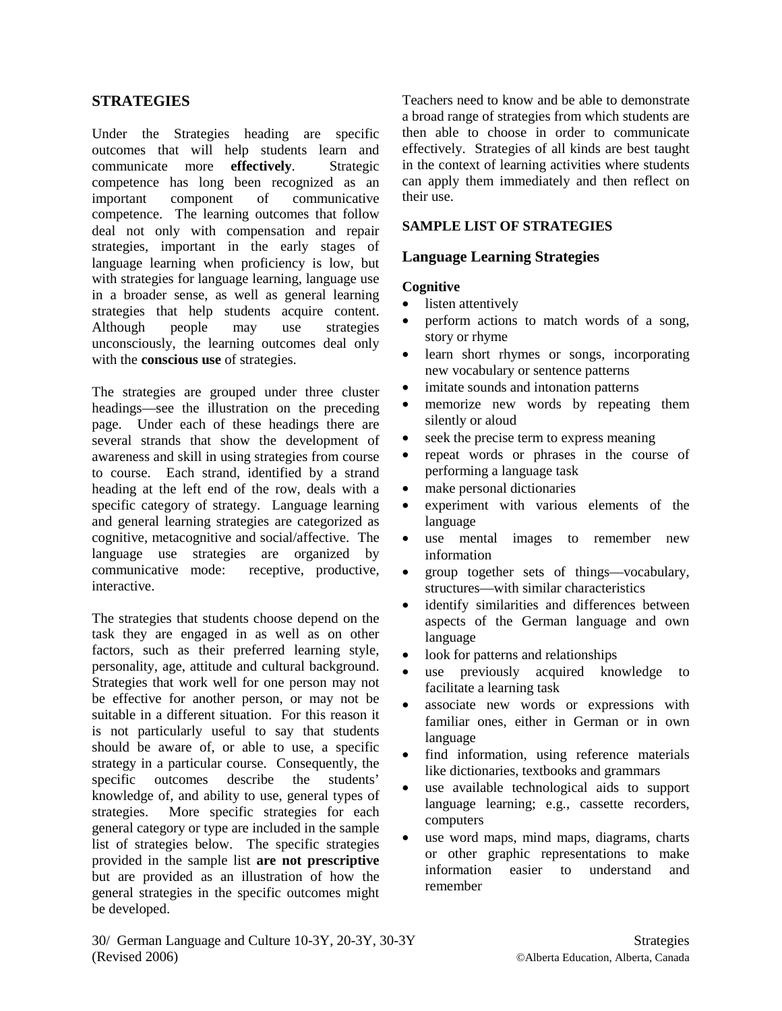## **STRATEGIES**

Under the Strategies heading are specific outcomes that will help students learn and communicate more **effectively**. Strategic competence has long been recognized as an important component of communicative competence. The learning outcomes that follow deal not only with compensation and repair strategies, important in the early stages of language learning when proficiency is low, but with strategies for language learning, language use in a broader sense, as well as general learning strategies that help students acquire content. Although people may use strategies unconsciously, the learning outcomes deal only with the **conscious use** of strategies.

The strategies are grouped under three cluster headings—see the illustration on the preceding page. Under each of these headings there are several strands that show the development of awareness and skill in using strategies from course to course. Each strand, identified by a strand heading at the left end of the row, deals with a specific category of strategy. Language learning and general learning strategies are categorized as cognitive, metacognitive and social/affective. The language use strategies are organized by communicative mode: receptive, productive, interactive.

The strategies that students choose depend on the task they are engaged in as well as on other factors, such as their preferred learning style, personality, age, attitude and cultural background. Strategies that work well for one person may not be effective for another person, or may not be suitable in a different situation. For this reason it is not particularly useful to say that students should be aware of, or able to use, a specific strategy in a particular course. Consequently, the specific outcomes describe the students' knowledge of, and ability to use, general types of strategies. More specific strategies for each general category or type are included in the sample list of strategies below. The specific strategies provided in the sample list **are not prescriptive** but are provided as an illustration of how the general strategies in the specific outcomes might be developed.

Teachers need to know and be able to demonstrate a broad range of strategies from which students are then able to choose in order to communicate effectively. Strategies of all kinds are best taught in the context of learning activities where students can apply them immediately and then reflect on their use.

#### **SAMPLE LIST OF STRATEGIES**

#### **Language Learning Strategies**

#### **Cognitive**

- listen attentively
- perform actions to match words of a song, story or rhyme
- learn short rhymes or songs, incorporating new vocabulary or sentence patterns
- imitate sounds and intonation patterns
- memorize new words by repeating them silently or aloud
- seek the precise term to express meaning
- repeat words or phrases in the course of performing a language task
- make personal dictionaries
- experiment with various elements of the language
- use mental images to remember new information
- group together sets of things—vocabulary, structures—with similar characteristics
- identify similarities and differences between aspects of the German language and own language
- look for patterns and relationships
- use previously acquired knowledge to facilitate a learning task
- associate new words or expressions with familiar ones, either in German or in own language
- find information, using reference materials like dictionaries, textbooks and grammars
- use available technological aids to support language learning; e.g., cassette recorders, computers
- use word maps, mind maps, diagrams, charts or other graphic representations to make information easier to understand and remember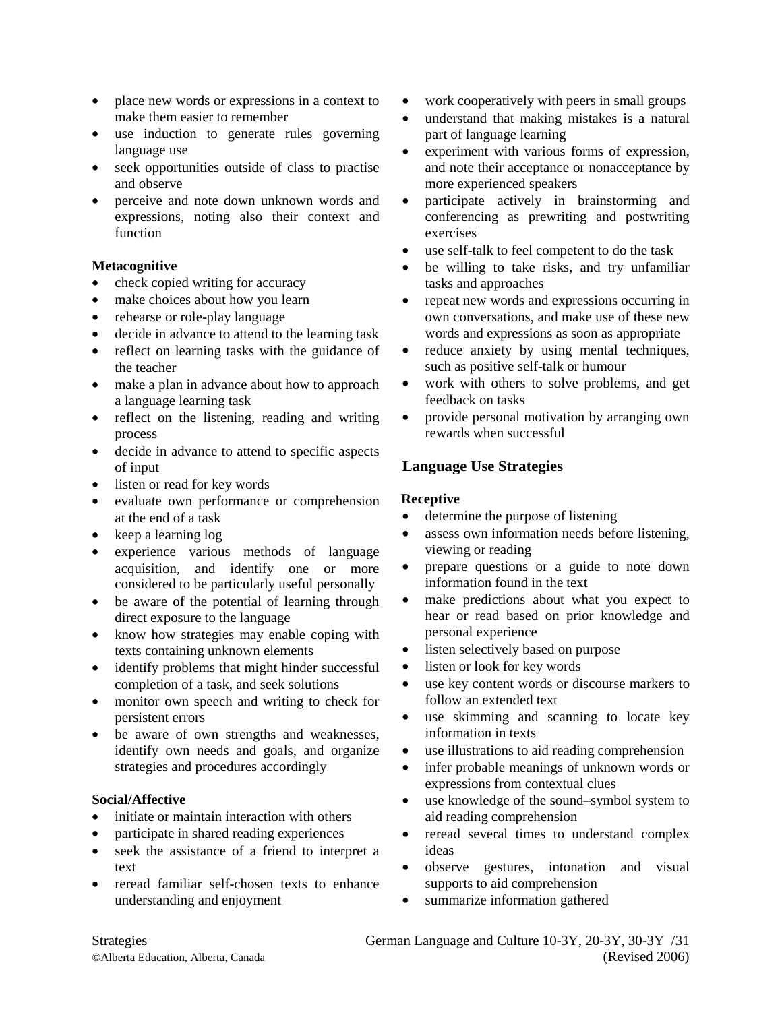- place new words or expressions in a context to make them easier to remember
- use induction to generate rules governing language use
- seek opportunities outside of class to practise and observe
- perceive and note down unknown words and expressions, noting also their context and function

#### **Metacognitive**

- check copied writing for accuracy
- make choices about how you learn
- rehearse or role-play language
- decide in advance to attend to the learning task
- reflect on learning tasks with the guidance of the teacher
- make a plan in advance about how to approach a language learning task
- reflect on the listening, reading and writing process
- decide in advance to attend to specific aspects of input
- listen or read for key words
- evaluate own performance or comprehension at the end of a task
- keep a learning log
- experience various methods of language acquisition, and identify one or more considered to be particularly useful personally
- be aware of the potential of learning through direct exposure to the language
- know how strategies may enable coping with texts containing unknown elements
- identify problems that might hinder successful completion of a task, and seek solutions
- monitor own speech and writing to check for persistent errors
- be aware of own strengths and weaknesses, identify own needs and goals, and organize strategies and procedures accordingly

#### **Social/Affective**

- initiate or maintain interaction with others
- participate in shared reading experiences
- seek the assistance of a friend to interpret a text
- reread familiar self-chosen texts to enhance understanding and enjoyment
- work cooperatively with peers in small groups
- understand that making mistakes is a natural part of language learning
- experiment with various forms of expression, and note their acceptance or nonacceptance by more experienced speakers
- participate actively in brainstorming and conferencing as prewriting and postwriting exercises
- use self-talk to feel competent to do the task
- be willing to take risks, and try unfamiliar tasks and approaches
- repeat new words and expressions occurring in own conversations, and make use of these new words and expressions as soon as appropriate
- reduce anxiety by using mental techniques, such as positive self-talk or humour
- work with others to solve problems, and get feedback on tasks
- provide personal motivation by arranging own rewards when successful

## **Language Use Strategies**

#### **Receptive**

- determine the purpose of listening
- assess own information needs before listening, viewing or reading
- prepare questions or a guide to note down information found in the text
- make predictions about what you expect to hear or read based on prior knowledge and personal experience
- listen selectively based on purpose
- listen or look for key words
- use key content words or discourse markers to follow an extended text
- use skimming and scanning to locate key information in texts
- use illustrations to aid reading comprehension
- infer probable meanings of unknown words or expressions from contextual clues
- use knowledge of the sound–symbol system to aid reading comprehension
- reread several times to understand complex ideas
- observe gestures, intonation and visual supports to aid comprehension
- summarize information gathered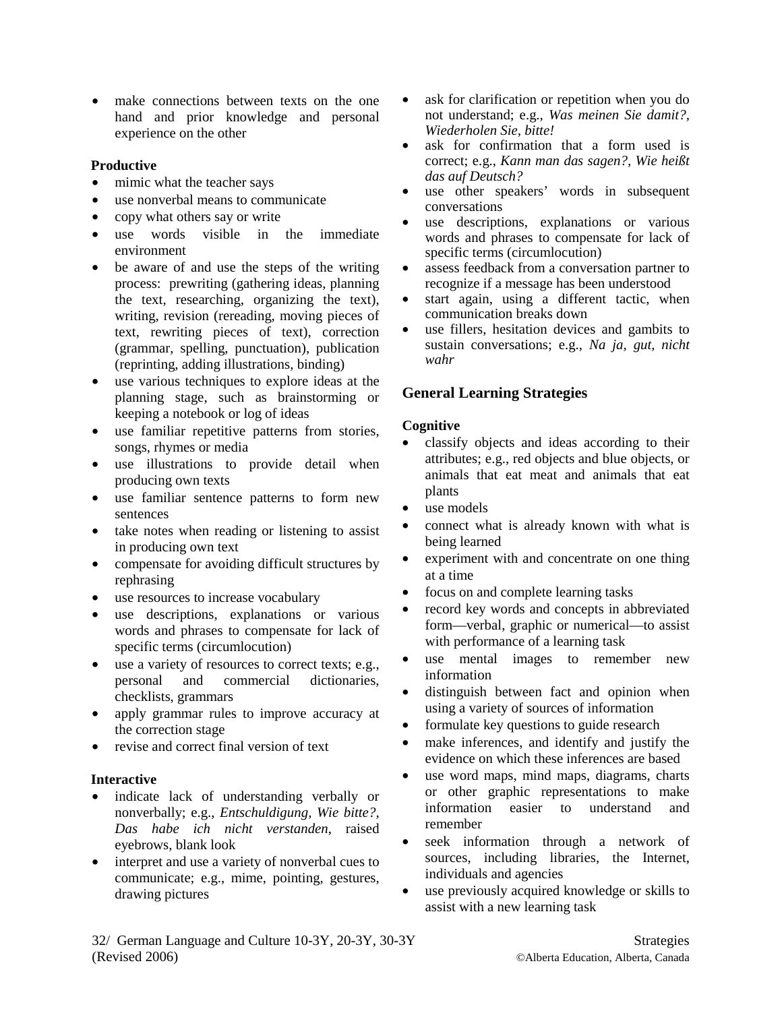make connections between texts on the one hand and prior knowledge and personal experience on the other

#### **Productive**

- mimic what the teacher says
- use nonverbal means to communicate
- copy what others say or write
- use words visible in the immediate environment
- be aware of and use the steps of the writing process: prewriting (gathering ideas, planning the text, researching, organizing the text), writing, revision (rereading, moving pieces of text, rewriting pieces of text), correction (grammar, spelling, punctuation), publication (reprinting, adding illustrations, binding)
- use various techniques to explore ideas at the planning stage, such as brainstorming or keeping a notebook or log of ideas
- use familiar repetitive patterns from stories, songs, rhymes or media
- use illustrations to provide detail when producing own texts
- use familiar sentence patterns to form new sentences
- take notes when reading or listening to assist in producing own text
- compensate for avoiding difficult structures by rephrasing
- use resources to increase vocabulary
- use descriptions, explanations or various words and phrases to compensate for lack of specific terms (circumlocution)
- use a variety of resources to correct texts; e.g., personal and commercial dictionaries, checklists, grammars
- apply grammar rules to improve accuracy at the correction stage
- revise and correct final version of text

#### **Interactive**

- indicate lack of understanding verbally or nonverbally; e.g., *Entschuldigung, Wie bitte?, Das habe ich nicht verstanden*, raised eyebrows, blank look
- interpret and use a variety of nonverbal cues to communicate; e.g., mime, pointing, gestures, drawing pictures
- ask for clarification or repetition when you do not understand; e.g., *Was meinen Sie damit?, Wiederholen Sie, bitte!*
- ask for confirmation that a form used is correct; e.g., *Kann man das sagen?, Wie heißt das auf Deutsch?*
- use other speakers' words in subsequent conversations
- use descriptions, explanations or various words and phrases to compensate for lack of specific terms (circumlocution)
- assess feedback from a conversation partner to recognize if a message has been understood
- start again, using a different tactic, when communication breaks down
- use fillers, hesitation devices and gambits to sustain conversations; e.g., *Na ja, gut, nicht wahr*

## **General Learning Strategies**

#### **Cognitive**

- classify objects and ideas according to their attributes; e.g., red objects and blue objects, or animals that eat meat and animals that eat plants
- use models
- connect what is already known with what is being learned
- experiment with and concentrate on one thing at a time
- focus on and complete learning tasks
- record key words and concepts in abbreviated form—verbal, graphic or numerical—to assist with performance of a learning task
- use mental images to remember new information
- distinguish between fact and opinion when using a variety of sources of information
- formulate key questions to guide research
- make inferences, and identify and justify the evidence on which these inferences are based
- use word maps, mind maps, diagrams, charts or other graphic representations to make information easier to understand and remember
- seek information through a network of sources, including libraries, the Internet, individuals and agencies
- use previously acquired knowledge or skills to assist with a new learning task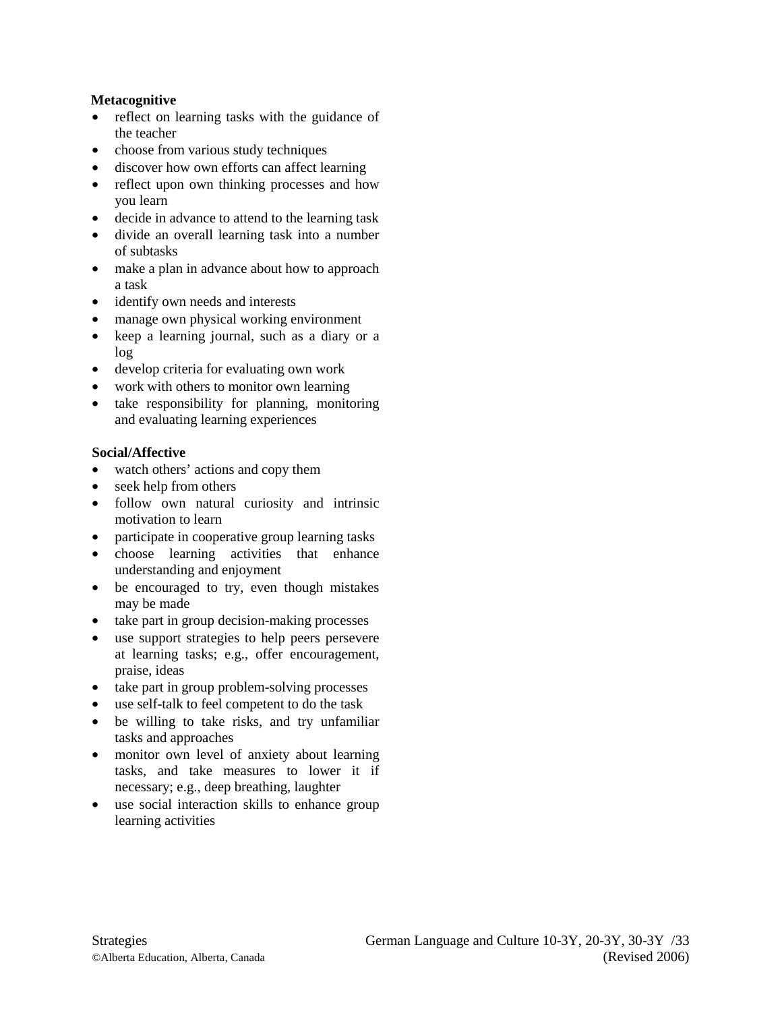#### **Metacognitive**

- reflect on learning tasks with the guidance of the teacher
- choose from various study techniques
- discover how own efforts can affect learning
- reflect upon own thinking processes and how you learn
- decide in advance to attend to the learning task
- divide an overall learning task into a number of subtasks
- make a plan in advance about how to approach a task
- identify own needs and interests
- manage own physical working environment
- keep a learning journal, such as a diary or a log
- develop criteria for evaluating own work
- work with others to monitor own learning
- take responsibility for planning, monitoring and evaluating learning experiences

#### **Social/Affective**

- watch others' actions and copy them
- seek help from others
- follow own natural curiosity and intrinsic motivation to learn
- participate in cooperative group learning tasks
- choose learning activities that enhance understanding and enjoyment
- be encouraged to try, even though mistakes may be made
- take part in group decision-making processes
- use support strategies to help peers persevere at learning tasks; e.g., offer encouragement, praise, ideas
- take part in group problem-solving processes
- use self-talk to feel competent to do the task
- be willing to take risks, and try unfamiliar tasks and approaches
- monitor own level of anxiety about learning tasks, and take measures to lower it if necessary; e.g., deep breathing, laughter
- use social interaction skills to enhance group learning activities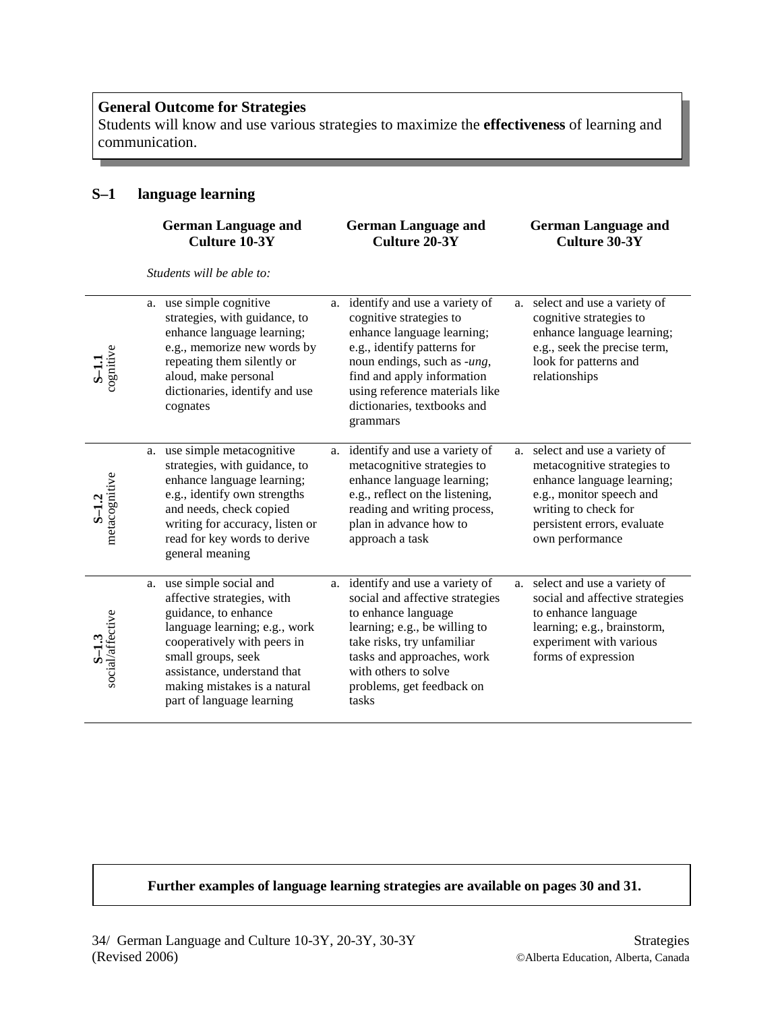## **General Outcome for Strategies**

Students will know and use various strategies to maximize the **effectiveness** of learning and communication.

## **S–1 language learning**

|                      | <b>German Language and</b><br><b>Culture 10-3Y</b>                                                                                                                                                                                                               | <b>German Language and</b><br><b>Culture 20-3Y</b>                                                                                                                                                                                                                 | <b>German Language and</b><br>Culture 30-3Y                                                                                                                                                       |
|----------------------|------------------------------------------------------------------------------------------------------------------------------------------------------------------------------------------------------------------------------------------------------------------|--------------------------------------------------------------------------------------------------------------------------------------------------------------------------------------------------------------------------------------------------------------------|---------------------------------------------------------------------------------------------------------------------------------------------------------------------------------------------------|
|                      | Students will be able to:                                                                                                                                                                                                                                        |                                                                                                                                                                                                                                                                    |                                                                                                                                                                                                   |
| $S-1.1$<br>cognitive | a. use simple cognitive<br>strategies, with guidance, to<br>enhance language learning;<br>e.g., memorize new words by<br>repeating them silently or<br>aloud, make personal<br>dictionaries, identify and use<br>cognates                                        | a. identify and use a variety of<br>cognitive strategies to<br>enhance language learning;<br>e.g., identify patterns for<br>noun endings, such as -ung,<br>find and apply information<br>using reference materials like<br>dictionaries, textbooks and<br>grammars | a. select and use a variety of<br>cognitive strategies to<br>enhance language learning;<br>e.g., seek the precise term,<br>look for patterns and<br>relationships                                 |
| metacognitive        | a. use simple metacognitive<br>strategies, with guidance, to<br>enhance language learning;<br>e.g., identify own strengths<br>and needs, check copied<br>writing for accuracy, listen or<br>read for key words to derive<br>general meaning                      | a. identify and use a variety of<br>metacognitive strategies to<br>enhance language learning;<br>e.g., reflect on the listening,<br>reading and writing process,<br>plan in advance how to<br>approach a task                                                      | a. select and use a variety of<br>metacognitive strategies to<br>enhance language learning;<br>e.g., monitor speech and<br>writing to check for<br>persistent errors, evaluate<br>own performance |
| social/affective     | a. use simple social and<br>affective strategies, with<br>guidance, to enhance<br>language learning; e.g., work<br>cooperatively with peers in<br>small groups, seek<br>assistance, understand that<br>making mistakes is a natural<br>part of language learning | a. identify and use a variety of<br>social and affective strategies<br>to enhance language<br>learning; e.g., be willing to<br>take risks, try unfamiliar<br>tasks and approaches, work<br>with others to solve<br>problems, get feedback on<br>tasks              | a. select and use a variety of<br>social and affective strategies<br>to enhance language<br>learning; e.g., brainstorm,<br>experiment with various<br>forms of expression                         |

## **Further examples of language learning strategies are available on pages 30 and 31.**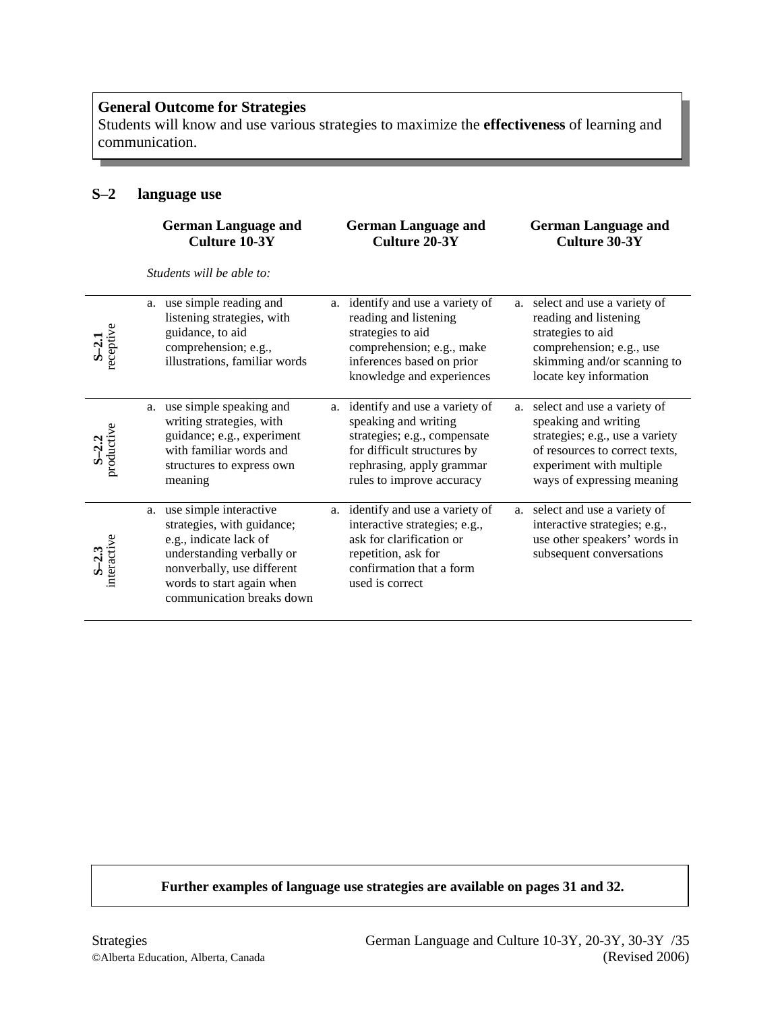## **General Outcome for Strategies**

Students will know and use various strategies to maximize the **effectiveness** of learning and communication.

## **S–2 language use**

|                      | <b>German Language and</b><br><b>Culture 10-3Y</b>                                                                                                                                                     | <b>German Language and</b><br><b>Culture 20-3Y</b>                                                                                                                                   | <b>German Language and</b><br><b>Culture 30-3Y</b>                                                                                                                                    |
|----------------------|--------------------------------------------------------------------------------------------------------------------------------------------------------------------------------------------------------|--------------------------------------------------------------------------------------------------------------------------------------------------------------------------------------|---------------------------------------------------------------------------------------------------------------------------------------------------------------------------------------|
|                      | Students will be able to:                                                                                                                                                                              |                                                                                                                                                                                      |                                                                                                                                                                                       |
| $S-2.1$<br>receptive | a. use simple reading and<br>listening strategies, with<br>guidance, to aid<br>comprehension; e.g.,<br>illustrations, familiar words                                                                   | identify and use a variety of<br>a.<br>reading and listening<br>strategies to aid<br>comprehension; e.g., make<br>inferences based on prior<br>knowledge and experiences             | a. select and use a variety of<br>reading and listening<br>strategies to aid<br>comprehension; e.g., use<br>skimming and/or scanning to<br>locate key information                     |
| productive           | a. use simple speaking and<br>writing strategies, with<br>guidance; e.g., experiment<br>with familiar words and<br>structures to express own<br>meaning                                                | identify and use a variety of<br>a.<br>speaking and writing<br>strategies; e.g., compensate<br>for difficult structures by<br>rephrasing, apply grammar<br>rules to improve accuracy | a. select and use a variety of<br>speaking and writing<br>strategies; e.g., use a variety<br>of resources to correct texts,<br>experiment with multiple<br>ways of expressing meaning |
| interactive          | a. use simple interactive<br>strategies, with guidance;<br>e.g., indicate lack of<br>understanding verbally or<br>nonverbally, use different<br>words to start again when<br>communication breaks down | a. identify and use a variety of<br>interactive strategies; e.g.,<br>ask for clarification or<br>repetition, ask for<br>confirmation that a form<br>used is correct                  | a. select and use a variety of<br>interactive strategies; e.g.,<br>use other speakers' words in<br>subsequent conversations                                                           |

## **Further examples of language use strategies are available on pages 31 and 32.**